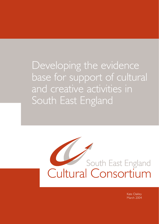Developing the evidence base for support of cultural and creative activities in South East England

# South East England<br>Cultural Consortium

Kate Oakley March 2004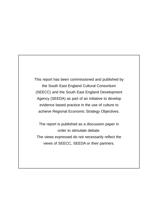This report has been commissioned and published by the South East England Cultural Consortium (SEECC) and the South East England Development Agency (SEEDA) as part of an initiative to develop evidence based practice in the use of culture to achieve Regional Economic Strategy Objectives.

The report is published as a discussion paper in order to stimulate debate. The views expressed do not necessarily reflect the views of SEECC, SEEDA or their partners.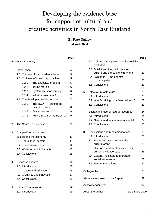# Developing the evidence base for support of cultural and creative activities in South East England

# **By Kate Oakley March 2004**

|   |                                   |                                     |                            | Page           |  |
|---|-----------------------------------|-------------------------------------|----------------------------|----------------|--|
|   |                                   | <b>Executive Summary</b>            |                            | 2              |  |
|   |                                   |                                     |                            |                |  |
| 1 | Introduction                      | 4                                   |                            |                |  |
|   | 1.1 The need for an evidence base | 5                                   |                            |                |  |
|   |                                   | 1.2 Critiques of current approaches |                            | 5              |  |
|   |                                   | 1.2.1                               | The advocacy problem       | 5              |  |
|   |                                   | 1.2.2                               | Telling stories            | 6              |  |
|   |                                   | 1.2.3                               | Systematic shortcomings    | 6              |  |
|   |                                   | 1.2.4                               | What causes what?          | $\overline{7}$ |  |
|   | 1.3 The developing evidence base  | 7                                   |                            |                |  |
|   |                                   | 1.3.1                               | The RCDF $-$ getting the   |                |  |
|   |                                   |                                     | basics in place            | 8              |  |
|   |                                   | 1.3.2                               | Observatories              | 8              |  |
|   |                                   | 1.3.3                               | Future research frameworks | 9              |  |
| 2 |                                   |                                     | The South East context     | 10             |  |
| 3 | Competitive businesses -          |                                     |                            |                |  |
|   | culture and the economy           | 11                                  |                            |                |  |
|   | 3.1 The cultural sectors          | 11                                  |                            |                |  |
|   |                                   | 3.2 The creative class              |                            |                |  |
|   |                                   | 3.3 Wider economic impacts          |                            |                |  |
|   |                                   | 3.4 Conclusions                     | 15                         |                |  |
| 4 | Successful people                 | 16                                  |                            |                |  |
|   |                                   | 4.1 Introduction                    |                            |                |  |
|   | 4.2 Culture and education         | 16                                  |                            |                |  |
|   | 4.3 Creativity and innovation     | 17                                  |                            |                |  |
|   | 4.4 Conclusions                   | 18                                  |                            |                |  |
| 5 | <b>Vibrant Communications</b>     | 19                                  |                            |                |  |
|   | 5.1 Introduction                  |                                     |                            | 19             |  |

|                                   |                                             |                                                              | Page |
|-----------------------------------|---------------------------------------------|--------------------------------------------------------------|------|
|                                   | 5.2 Cultural participation and the socially | 19                                                           |      |
|                                   |                                             | 5.3 Build it and they will come -                            |      |
|                                   |                                             | culture and the built environment                            | 20   |
|                                   |                                             | 5.4 Joining in - the benefits                                |      |
|                                   |                                             | of participation                                             | 21   |
|                                   |                                             | 5.5 Conclusions                                              | 22   |
| 6                                 | Effective infrastructure                    |                                                              |      |
|                                   |                                             | 6.1 Introduction                                             | 23   |
|                                   |                                             | 6.2 What's driving broadband take-up?                        | 23   |
|                                   |                                             | 6.3 Conclusions                                              | 23   |
| $\overline{7}$                    |                                             | Sustainable use of natural resources                         | 24   |
|                                   |                                             | 7.1 Introduction                                             | 24   |
|                                   |                                             | 7.2 Natural and environmental capital                        | 24   |
|                                   |                                             | 7.3 Conclusions                                              | 25   |
| 8                                 |                                             | Conclusions and recommendations                              | 26   |
|                                   |                                             | 8.1 Introduction                                             | 26   |
|                                   |                                             | 8.2 Evidence-based policy in the<br>cultural arena           | 26   |
|                                   |                                             | 8.3 Strengths and weaknesses of the<br>current evidence base | 26   |
|                                   |                                             | 8.4 Cultural indicators and broader                          |      |
|                                   |                                             | social frameworks                                            | 27   |
|                                   |                                             | 8.5 Recommendations                                          | 27   |
| Bibliography                      |                                             |                                                              | 29   |
| Abbreviations used in this Report |                                             |                                                              |      |
| Acknowledgements                  |                                             |                                                              |      |
|                                   |                                             | Inside Back Cover<br>About the author                        |      |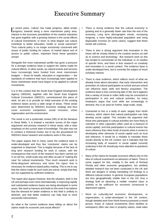# Executive Summary

In recent years, 'culture' has made progress, albeit erratic<br>progress, towards being a more mainstream policy area. n recent years, 'culture' has made progress, albeit erratic Interest in the economic possibilities of the creative industries has gone together with a growing interest in the social effects of cultural investments; in short, to what degree can culture contribute to better education, health or social outcomes? Thus cultural policy is no longer exclusively concerned with issues of public funding for culture, of market failure and of access to public culture, important those these questions remain.

Alongside this more mainstream profile has gone a pressure for a stronger evidence base to support the claims made for cultural effects. In other words, as cultural events and services have increasingly been funded from more mainstream budgets — those for health, education or regeneration — the standards of evidence that have increasingly been applied to those mainstream areas have begun to be applied to cultural investments.

It is in this context that the South East England Development Agency (SEEDA), together with the South East England Cultural Consortium (SEECC), commissioned this piece of work. Its aim is to provide an initial overview of the existing evidence bases across a wide range of areas. These areas were determined by SEEDA's economic strategy and thus cover economic competition, social inclusion, urban regeneration and the environment.

The result is not a systematic review (SR) of all the literature in these fields. It is instead a narrative survey of the major arguments and primary research in these areas, with a clear emphasis on the current state of knowledge. The plan was not to conduct a historical review, but to lay the groundwork for SEEDA's future research and evidence work in this area.

The paper argues that in many cases the evidence base is under-developed and thus few 'conclusive' claims can be supported or disproved. This is largely because of the lack of long term research funding for work in culture, with the consequence that much of the research has been carried out in an ad hoc, small-scale way and often as part of 'making the case' for cultural investments. Thus much research work is thinly-disguised advocacy and lacks the rigour that is necessary for evidence based policy making. This is not to say that the claims made for such work are untrue, simply that they are not supported by sufficient evidence.

The report also argues however, that the situation, both in the UK and perhaps even more internationally, is improving rapidly and substantial evidence bases are being developed in some areas. We need to harness and build on this work if we believe that the demand for better evidence in this field is unlikely to diminish, and that better evidence can help lead to more successful interventions.

So what is the current evidence base telling us about the claims made for economic and social effects?

- There is strong evidence that the cultural economy is growing and at a generally faster rate than the rest of the economy. Long term demographic trends, increasing longevity, a more highly-educated population and rising disposable incomes (in some cases), suggest that these trends will continue.
- There is also a strong argument that innovation in the future will be closely linked to the creative sectors as well as to science and technology. But research work on this has tended to concentrate on the individual, or on studies of specific firms, and there is less research on creativity and innovation in a social context. The evidence base is under-developed here, but is currently the subject of much scholarly interest.
- There is clear evidence, which reflects much of what we already know about education, that early intervention and promotion of cultural participation at school and pre-school can influence basic skills and literacy acquisition. The evidence base is less convincing later in life; but it appears that a variety of social or softer skills may be connected to participation in arts and cultural activities. As many employers argue that such skills are increasingly in demand, this is an area for further, large-scale, study.
- Connected to this is a body of work, largely from North America, which claims that cultural participation can help develop social capital. This includes the argument that those who participate in cultural activities are more likely to volunteer in other capacities (often used as a measure of social capital), and that participation in cultural events has more influence than other kinds of events when it comes to developing other elements of social capital such as trust and tolerance. It would be a mistake to translate these results directly to the UK context, but it indicates that the increasing body of research in social capital currently underway in the UK should pay more attention to questions of culture.
- Many of the claims for broader economic effects rely on the idea of cultural investments as attractors of talent. There is some support for this, notably in the work of Richard Florida and other economic geographers, but similarly detailed research has not been conducted in the UK and there are dangers in simply translating US findings to a different cultural context. In general, European populations are less geographically mobile than in the US; thus a strategy built on attracting a mobile 'creative class' is unlikely to be sufficient for economic turnaround in depressed regions.
- Work on culturally-led economic development, or regeneration, is under-developed in the UK context, though detailed work from North America presents a mixed picture. Areas of cultural investments (from facilities to workspace) often see rises in property values, retail sales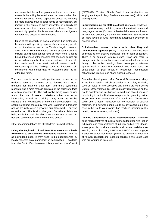and so on; but the welfare gains from these have accrued unevenly, benefiting better-educated incomers rather than existing residents. In this respect the effects are probably no more skewed than in other forms of regeneration, but implicit in the claims of many advocates of culturally led regeneration is that it is more socially balanced. Given its current high profile, this is an area where more rigorous research and debate is clearly needed.

• Much of the research on social exclusion has historically been done with specific groups — offenders, young people at risk, the disabled and so on. This is a hugely contested area and while there should be no presumption that cultural participation cannot have an effect here, it has to be said that much of the research that has been carried out is not sufficiently robust to provide evidence. It is a field that needs much more 'multi method' research, which compares qualitative findings such as 'improved selfconfidence' with harder data on outcomes such as reoffending rates.

The need now is to acknowledge the weaknesses in the evidence base and to move on to develop more robust methods, for instance longer-term and more systematic research, and a more realistic appraisal of the spillover effects of cultural investments. This will involve being more explicit about the role of research vis-à-vis other sources of information, as well as providing clarity about the relative strengths and weaknesses of different methodologies. We should not expect case study-type work to diminish in this area and we are likely to see a growth in qualitative work — surveys — and so on. This is all to the good. But where claims are being made for particular effects, we should not be afraid to demand some harder evidence of these effects.

Other recommendations for SEEDA from this work include:

**Using the Regional Cultural Data Framework as a basis from which to enhance the quantitative baseline.** Given its acknowledged gaps, it may need to be supplemented by locally collected data, particularly on participation — available from the South East Museum, Library and Archive Council (SEMLAC), Tourism South East, Local Authorities employment (particularly freelance employment), skills and training needs.

**Improved training for staff in cultural agencies.** Evidencebased policymaking is relatively new in the cultural arena and many agencies are (for very understandable reasons) keener to assemble advocacy material than evidence. Staff need to be more aware of what constitutes acceptable evidence in specific cases.

**Collaborative research efforts with other Regional Development Agencies (RDA).** Most RDAs now have staff dedicated to the creative industries and to sport or tourism. There is no common formula across RDAs and there is divergence in the amount of resources devoted to these areas though collaborative meetings have taken place between agency staff. A cross-RDA research sub-group could be established to pool research resources, commission collaborative projects and share existing research.

**Consider development of a Cultural Observatory.** Many RDAs have established observatories in a variety of fields, such as health or the economy, and others are considering Cultural Observatories. SEEDA is already represented on the South East England Intelligence Network and should consider developing its cultural indicators as part of this grouping. In the longer term, the development of a South East Observatory could offer a better framework for the inclusion of cultural statistics, or a cultural module could be developed, as is the case in the South West (which has modules including public health, the environment, skills, etc).

**Develop a South East Cultural Research Panel.** This would bring representatives of cultural agencies together with Higher Education and representatives of industry bodies. The idea is, where possible, to share material and develop collaborative learning. As a first step, SEEDA & SEECC should engage Higher Education South East (HESE) to provide an overview of relevant research and research centres in the South East who are working in this area.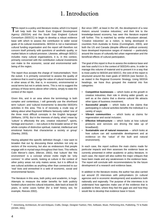# 1. Introduction

This report is a policy and literature review, which it is hoped<br>will help both the South East England Development Agency (SEEDA) and the South East England Cultural Consortium (SEECC) to begin to develop a robust evidence base with which to assess the contribution to wider social goals of its cultural investments. SEEDA is not a mainstream cultural funding organisation and the report will therefore not concern itself primarily with questions of aesthetic quality, or market failure in cultural provision. Likewise, although SEECC includes many cultural organisations, it is, in this context, primarily concerned with the contribution cultural investments can make to the economic, social and environmental wellbeing of the region.

The report thus accepts the charge of 'instrumentalism,' from the outset. It is primarily concerned to assess the quality of evidence that is used to judge the value of cultural investments in other areas of life, that is, in economic, environmental or social terms but not in artistic terms. This is not to suggest the primacy of those terms above other criteria, simply to state the context of the report.

Given this, and in an area where the terminology is both complex and contentious, I will generally use the shorthand term 'culture'; and 'cultural investments' to describe SEEDA's activities in this area. This is of necessity a crude way of talking about what Raymond Williams famously called 'one of the three most difficult concepts in the English language' (Williams, 1976). But in the interests of clarity, what I mean by 'culture' is effectively the arts, creative industries<sup>1</sup>, sports, heritage and tourism — not culture in the broader sense of 'the whole complex of distinctive spiritual, material, intellectual and emotional features that characterise a society or group' (Stanley, 2003).

Having adopted this specific definition though, I now want to broaden that out by discussing these activities not only as sectors of the economy, but also as endeavours that people engage with in myriad ways throughout their lives. This reflects Colin Mercer's claim, (Mercer, 2002), that 'culture' like 'the environment' is a concept whose motto might be 'only connect.' In other words, looking at culture in the context of other policy areas not only makes sense, but it is difficult to see cultural activities as anything other than connected to our 'real' lives and enmeshed in a web of economic, social and environmental factors.

The literature in this area, both policy and academic, is huge. Attempts to measure the wider benefits for both publicly funded culture and the cultural industries, date back at least 30 years, in some cases further (for a brief history see, for example, Reeves 2002).

But since 1997, at least in the UK, the development of a new rhetoric around 'creative industries,' and their link to the knowledge-based economy, has seen this literature expand still further. This is matched by similar enthusiasm abroad. 'Creative industries' as a notion, is being developed in countries from Australia to Korea (Cunningham, 2003), and both the US and Canada (despite different political contexts) have developed impressive ranges of material — particularly around the issues of culturally-led urban regeneration and the beneficial effects of cultural participation.

The goal of this report is thus to assess the evidence base and see how useful it is in the context of SEEDA's aims. In order to manage this volume of material and to present it in a way that is most useful to SEEDA and SEECC, the core of the report is structured around the main goals of SEEDA (see Section 2), as stated in the Regional Economic Strategy. Using SEEDA headings, we have thus grouped the material into five categories:

- **Competitive businesses** which looks at the growth in creative industries; their role in driving wider growth; as well as at the claims that a diverse cultural life attracts other types of business investment;
- **Successful people** which looks at the claims that participating in cultural activities benefits the individual in a variety of ways;
- **Vibrant communities** which looks at claims for regeneration and social inclusion;
- **Effective Infrastructure** which looks at how cultural products and services are driving the take up of broadband);
- **Sustainable use of natural resources** which looks at how culture can aid sustainable development and at evidence on the 'value' of the built and natural environment).

In each case, the report outlines the main claims made for particular impacts and then assesses the evidence base as currently presented in either academic or policy literature. In each case, the report will also outline the major critiques that have been made and any weaknesses in the evidence base. The report will conclude with recommendations for the future development of a research and evidence base.

In addition to the literature review, the author has also carried out around 20 interviews with policymakers (in cultural agencies and in economic development) and academics both nationally and regionally. The purpose of the interviews is to understand how agencies make use of the evidence that is available to them, where they feel the gaps are and how they would like to develop that evidence base in future.

<sup>1</sup> Advertising, Architecture, Art and Antiques, Crafts, Design, Designer Fashion, Film, Software, Music. Performing Arts, Publishing, TV & Radio (DCMS, 2001)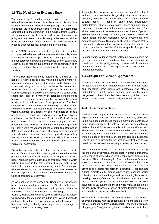# **1.1 The Need for an Evidence Base**

The enthusiasm for evidence-based policy is seen as a hallmark of the New Labour Administration, and is part of its seeming commitment to a less ideological age ('what works?'). In addition, the need to prove value for money to a sometimes sceptical public, the diminution in the public's desire to simply take professionals at their word and the greater amount of policy-relevant research that is being undertaken worldwide, have all contributed to the pressure of public agencies to produce evidence for their actions and investments.

As the DCMS's current research strategy states, it is clear that, compared to healthcare, evidence across all other policy areas is seriously underdeveloped. However, the report's authors are not persuaded that what they describe as the 'cultural and creativity' areas face unique barriers in the construction of an improved evidence base — simply that there is a need to 'catch up.'

There is little doubt that some 'catching up' is going on. The need for evidence-based policy-making is driving a variety of research programmes across the sectors with which we are concerned. Many will focus on 'quality of life issues,' and although culture is by no means systemically embedded in such research, (for example, the Strategy Unit's paper on life satisfaction looks at a variety of potential contributors to happiness, but has no evidence on the role played by cultural activities), it is making more of an appearance. The Audit Commission's development of voluntary Quality of Life indicators is likely to include cultural indicators, while last year's 'Statement of Shared Priorities,' which sets out central and local government's view on how to improve local services, emphasises quality of life issues. To aid this, IDeA will shortly publish a set of case studies in what, it argues, is good practice in linking cultural investments to improved quality of life. Finally, while the widely used Index of Multiple Deprivation (IMD) does not include measures of cultural deprivation aside from education, a new measure of child poverty proposed by the Department for Work and Pensions will include lack of access to leisure, hobbies and other cultural activities as an indicator of deprivation.

Given that we accept the need for evidence of some sort to both justify and direct public spending, what are the immediate problems that arise when looking at the requisite evidence base? Although there is a long list of problems, many of which will be discussed in the next section, they are really of two kinds: the question of measurability itself (for example, whether something can be measured) and the question of data to support that measurement. In the field of culture, both types of problems are common.

As we shall see in the section on 'Competitive Businesses,' basic economic and business data in the Creative Industries is often incomplete or missing, and general statistical frameworks have not kept up with the changing shape of the economy. But it would be fair to say that in broad terms at least we know what the problems are in this area. When it comes to capturing the effects of investment in cultural activities on health, wellbeing or identity, for example, we come up against the question of measurability itself.

Although the pressure to produce meaningful cultural indicators and evidence is growing, the task remains extremely complex. Most of the issues are far from unique to cultural policy — gaps in basic data, inadequate methodologies, absence of causality — these and many more issues are common in social research across the board. The aim is therefore not to achieve some sort of nirvana of perfect information and watertight evidence, but simply to allow us to make better-informed decisions about investments and potential investments. Similarly, much of the research that is conducted, particularly the evaluation of specific projects, is not so much 'bad' or 'worthless,' but is incapable of supporting the often grandiose claims that are made for it.

In other words, evidence cannot replace politics as a basis for governing, and improved evidence bases can only make a contribution to the policy-making process, which remains fundamentally a process of dialogue and ideas, not a rational, managerial exercise.

## **1.2 Critiques of Current Approaches**

Various critiques have been leveled over the years at attempts to measure the value of cultural investments in broad social and economic terms. Some are ideological and others methodological, but it is worth spending some time looking at the general problems identified, because many of them occur in much of the research I have analysed for this report.

#### **1.2.1 The advocacy problem**

A widespread critique is that research in this area is rarely impartial and is too often confused with advocacy (Selwood, 2002). One does not have to read too many documents about urban regeneration or the role of the arts in combating a variety of social ills to see that this criticism is well founded. The most common (if not the most honourable) reason for this, is that many such documents are in fact 'bid' documents, written in support of a particular case (ranging from European City of Culture to funding for the local arts centre), and thus a certain amount of window-dressing is perhaps to be expected.

Other material however, has also been criticised for blurring the line between advocacy and research. Notable in this arena is the series of work initiated by the consultancy Comedia in the mid-1990s, culminating in François Matarasso's report 'Use or Ornament?' The social impact of participation in the arts.' This set the scene for a series of claims about cultural activities as a tool for regeneration in particular — arguing that cultural projects could, among other things, enhance social cohesion, improve local image, reduce offending behaviours, develop self-confidence in individuals and enhance organisational capacity. The document was seen to be very influential in UK cultural policy, and while many of the claims are intuitively attractive, a series of methodological criticisms were leveled at the work and others like it.

These criticisms centre around over-reliance on case studies or small samples, with the consequent problem that it is very difficult to generalise from such research. Indeed, the 'problem of aggregation' plagues many impact studies and, particularly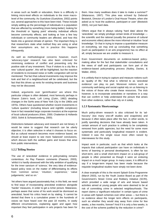in areas such as health or education, there is a difficulty in linking micro-level effects on individuals to the more macrolevel of the community. As Guetzkow (Guetzkow, 2002) points out, several approaches to this have been tried. These include simply adding up the percentage of individuals in a population that are affected by something (more being better); looking for the threshold or 'tipping point' whereby individual effects become community effects; and looking at how a few key individuals or community leaders are affected, and how this feeds into a general climate of opinion. The important thing is that researchers state what method they are using or what their assumptions are, but in practice this happens infrequently.

As well as methodological concerns however, much 'advocacy-type' research has also been criticised for minimising evidence of conflict and presenting only the positive side of any investment. Thus if visitors to a city like a new 'cultural quarter', this will be highlighted, but the reaction of residents to increased noise or traffic congestion will not be mentioned. The fact that cultural investments may improve the look and feel of a neighbourhood will be celebrated, but the fact that this drives up rents for existing tenants and business may not be discussed.

Indeed, arguments over 'gentrification' are where this particular critique is often debated, most famously perhaps in Sharon Zukin's book, Loft Living (Zukin, 1982) detailing changes in the SoHo area of New York City in the 1960s and 1970s. Others have questioned whether recent investments in 'culture quarters' (including leisure and nightlife complexes) have in fact rewarded large corporate investors at the expense of local cultural producers (Klein, 2000; Chatterton & Hollands 2003; Solnit & Schwartzenberg, 2000).

Distinctions between advocacy and research are not binary; it would be naive to suggest that research can be utterly objective; it is often selective in what it chooses to focus on. But as cultural research becomes more evidence based, we should at least expect to see more 'balanced' conclusions, which discuss both the welfare gains and losses that arise from public interventions.

#### **1.2.2 Telling Stories**

The use of 'anecdotal' evidence in policymaking remains contentious. As Ray Pawson comments (Pawson, 2003), 'whilst it is hardly obsessed with the lofty ambition of qualifying for the inner sanctum of 'science,' the very idea of evidencebased policy rests on the matter of differentiating its efforts from 'common sense,' 'intuition,' experience,' 'value judgements,' and so on.'

Yet others have argued passionately that, in this field, we need to find ways of incorporating anecdotal evidence alongside 'harder' measures, in order to get a richer picture. Matarasso, perhaps aware that some of his work would be dismissed as anecdotal, faced his critics head on by stating, 'it cannot be denied that there is a cumulative power in the hundreds of voices we have heard over the past 18 months, in vastly different circumstances, explaining again and again how important they feel participation in arts projects has been for them. How many swallows does it take to make a summer?' (Matarasso, 1997). This plea was echoed by Deborah Bestwick, Director of London's Oval House Theatre, when she asked us to 'trust the audience, participant or user' (Bestwick 2003), not just hard data.

Others argue that in always valuing 'hard data' above the 'anecdotal,' we simply privilege certain kinds of knowledge the scientific and the rational (usually the preserve of cultural and economic elites) above the more informal or intuitive 'local knowledge.' Or that in trying to impose a quantitative measure on everything, we may end up concluding that something (such as participation in an arts programme) has no effect at all, simply because we are unable to measure it.

Even Government documents on evidence-based policymaking allow for the fact that stakeholder consultations and the views of staff and participants can form part of the evidence-based policymaking process (Nutley, Davies, & Walter, 2002).

It is unlikely that in trying to capture and measure notions such as 'quality of life,' that what is referred to as 'anecdotal evidence' can play no part. Moreover notions such as community well-being and social capital rely on us listening to the voices of those who create these resources. The trick however, is to incorporate anecdotes or narratives in a way that can confirm or help understand the picture that arises from other evidence, rather than rely on it solely.

#### **1.2.3 Systematic Shortcomings**

Much policy-driven research is also criticised for its 'adhoccery' (too many one-off studies and snapshots) and because it often takes place after the fact, in other words, to justify spending decisions that have already been taken. A certain amount of such practice is unlikely to be completely removed from public agencies, but the need for some more systematic and particularly longitudinal research is evident. Indeed it was the single issue most often raised by interviewees for this study.

Impact work in particular, such as that which looks at the impacts that cultural participation can have on individuals in terms of learning or personal development, is often far too short-term, and a small short-term impact on a sub-group of people is often presented as though it were an enduring impact on a much larger group. In many cases, it is difficult to say if a longer-term impact has been made because the requisite longitudinal studies have simply not been done.

A clear example of this is the recent Splash Extra Programme (March 2003), run by the Youth Justice Board as part of the Government's Street Crime and Robbery Initiative (SCRI), which provided a wide range of arts and leisure based activities aimed at young people who were deemed to be at risk of committing crime in selected neighbourhoods. The report claims a 'significant reduction' in certain types of crime in areas with Splash schemes over other areas — but there is no evidence about the longer term effects on participants, such as whether they would stay away from crime for few weeks, a few months, forever? And if it is only a few weeks, is the cost of the scheme justified by the reduction in crime?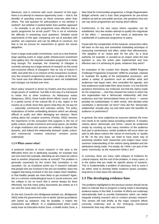Moreover, and in common with much research of this type, there is no attempt to measure opportunity costs — that is, the benefits of spending money on these schemes rather than others. The real question for policymakers is not whether it worked?, but whether it worked better than another approach — for example, is an arts programme more effective that a sports programme for at-risk youth? This is not to mimimise the difficulty in answering such questions. Detailed social experiments of this type, comparing one set of activities with another, are expensive and can be difficult to construct, but that is not an excuse for researchers to ignore the issues altogether.

Even in large-scale public investments, such as a new festival, large sporting event or major public infrastructure investment (new gallery etc), the requisite evaluation programme is rarely long enough. For example, the University of Glasgow is currently carrying out a large amount of research on the social and economic effects of Glasgow's Year as City of Culture in 1990, and while this is no criticism of the researchers involved, very few research programmes were put in place at the time. The result was that effective baselines were not established and changes not tracked over time.

Much policy research is driven by funders and thus produces single pieces of 'evidence,' but little in the way of a framework to relate this to other evidence. As Matarasso states (Matarasso, 2001), these funder-driven efforts 'result, at best, in a partial survey of the cultural life of a city, region or the country as a whole since they ignore what they do not pay for — especially commercial and voluntary activity. The policy implications of further embedding divisions which are already difficult to justify and often damaging are obvious.' Much writing about the creative economy (Florida, 2002) stresses the importance of the ecosystem that supports it, the mix of public culture, private commerce and social space, yet studies of single institutions and services are unlikely to capture this dynamic, and indeed the relationship between 'public culture' and commercial 'creative industries' remains poorly understood.

#### **1.2.4 What causes what?**

A profound criticism of much research in this area is the difficulties there are in attributing causality, for example how can one event (for example, attending an arts class) be said to lead to another (improved results at school)? The problem is generally expressed by the truism that correlation is not causation. So, as Guetzkow points out, if research indicates that people who are involved in the arts are healthier, does this suggest that being involved in the arts makes them healthier, or that healthy people are more likely to get involved? Again, this is a common methodological issue in social sciences, and the critique is not so much that it cannot always be done effectively, but that many policy documents are written as if it can and the issue does not arise.

As the Arts Council's Ann Bridgwood pointed out, (Bridgwood, 2002) while the government's aim to tackle 'joined up problems with joined up solutions' may be laudable, it makes the researchers task difficult. 'In a neighbourhood which could easily have an Education Action Zone, a Health Action Zone, a New Deal for Communities programme, a Single Regeneration Budget scheme, and a Sure Start programme for pre-school children as well as core public services, she questions how one can say which programmes are having which effects.

Furthermore, in the rare cases where causation can be established, very few studies attempt to qualify the magnitude of the effect — necessary if one wants to determine the cost/benefit of a particular programme or policy.

Faced with the complexities of this however, researchers often fall back on the lazy and somewhat misleading technique of measuring commitment and effort, rather than effectiveness. The adoption of an 'action plan for the arts,' by a local authority, for example, is counted as an output; when the real question is, was the action plan implemented and how effective was it in achieving its goals, whatever they were?

An evaluation of the London Arts' Boards 1998/9 Regional Challenge Programme (Carpenter 1999) for example, claimed to 'evaluate the quality of the participative processes,' and asked a variety of questions such as whether artist and audiences had equal roles, who controlled the agenda, and how audiences could make their views known. It is not that the questions themselves are irrelevant, but that the claims made for the responses — that they showed the extent to which the arts organisation had a 'democratic relationship' with their audiences and had 'democratised these art forms' — cannot possibly be substantiated. In other words, who decides what constitutes a democratic art form? How did this 'democratic relationship' actually play out and what were the benefits for audience or performers?

In general, the more subjective an outcome claimed, the more one needs to be careful about providing evidence. If complex notions about 'democratic arts forms,' cannot be evidenced simply by counting up how many members of the audience took part in performance; similar problems will occur when we start to talk about notions like 'sense of community' or 'quality of life.' At the very least, we need to have some way of assessing whether both researcher and subject have some common understanding of the notions being debated and the attributions being made. Put simply, do I think I am part of the same 'community' as the researcher thinks I am?

In summary, there are many valid critiques of evidence for cultural impacts. But the nub of the problem, in many cases, is in the claims that are made for specific pieces of research. This is fundamentally a problem of advocacy. And to solve it we either need to develop better evidence bases (complex, long-term) or tone down the advocacy.

#### **1.3 The developing evidence base**

The problems highlighted in the previous section should not be taken to indicate that no progress is being made in developing evidence bases in this field. A number of efforts are underway internationally both to provide frameworks which can better integrate existing research and to conduct primary research. This section will look briefly at the major research efforts currently underway and at the emerging conceptual frameworks that may offer ways forward.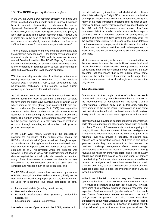#### **1.3.1 The RCDF — getting the basics in place**

In the UK, the DCMS's own research strategy, which runs until 2006, is explicit about the need to build an improved evidence base to support policy-making. It advocates the use of Systematic Reviews (SR) of existing research evidence, partly to help policymakers learn from good practice and partly to alert them to gaps in the current research base. However, as it points out, in the case of cultural research, whereas there are numerous 'superficially relevant studies, very few are of sufficient robustness for inclusion in a systematic review'.

There is clearly a need to improve both the quantitative and the qualitative evidence base — the former having been given renewed emphasis since 1997, with the growing discourse around Creative Industries. The 'DCMS Mapping Documents,' set the stage nationally, but as the creative industries moved to the foreground of regional policy as well, shortcomings in data and statistics at that level became apparent.

With the admirably realistic aim of 'achieving better use of existing statistics' (RCDF November 2002), the Regional Cultural Data Framework (RCDF), was developed to help policymakers, particularly in the regions, to map current availability of data across the cultural sectors.

As Colin Mercer points out in his work for the South West RDA (Mercer 2003), the RCDF is very much a minimum template for developing the quantitative baseline, but it allows us to see where some of the most glaring gaps in current data sets are. Mercer and others (for example Pratt, 1997) have argued for the use of 'value chain,' or what Mercer calls a 'culture cycle' approach to understanding the cultural sectors in economic terms. The number of 'links' in the production chain may vary, but the general approach is to start with content creation at one end, through marketing and distribution, and up to the point of consumption.

In the South West report, Mercer took the approach of mapping the six stages of the 'culture cycle' against the RCDF's cultural 'domains' (from visual art, through to sport and tourism), and plotting how much data is available in each case (number of reports published, national or regional data sets and so on). This revealed where the evidence was weakest (in this case in Visual Arts and Performance). Plotting data set against the cultural cycle, also revealed a view that many of our interviewees expressed — there is far less research at the 'consumption' end of the cycle such as exhibition and reception than at the 'production' end.

The RCDF is already in use and has been tested by a number of RDAs, notably in the East Midlands (Impact, 2003). As the East Midlands 'Roadtesting' report points out, the RCDF can be used for measuring four broad categories of data:

- Labour market data (including unpaid labour)
- User and audience data
- Economic Performance data (turnover, productivity, exports, etc)
- Education and Training Requirements

It reveals a number of problems with the RCDF, most of which

are acknowledged by its authors, and which include problems about data reliability at 5 digit SIC code level and duplication of 4 digit SIC codes, which could lead to double counting. But many of the more intractable problems refer to data at subregional and local levels. This was echoed in a recent study for the LDA and GLA Economics, which speaks of a 'data robustness deficit' at smaller spatial levels. As both reports point out, this is a particular problem for survey data, as sample sizes at the local level tend to be unreliably small. As the Labour Force Survey (LFS) is one of the major datasets used to calculate self-employment, it is little wonder that in the cultural sectors, where part-time and self-employment is widespread, data on self-employment is so often considered unreliable.

Most researchers working in this area have concluded that, in the short to medium term, the unreliability of data at local level means that official statistics need to be supplemented by trade associations' data and commercial market research. It is also accepted that this means that in the cultural arena, some sectors will be better covered than others. In the longer term, better primary research at local and regional evidence is the only answer.

#### **1.3.2 Observatories**

One approach to the complex mixture of statistics, research reports and consultancy that policymakers have to deal with is the development of Observatories, including Cultural Observatories. Europe's early lead in this area, with the development of the Audio-Visual Observatory, is now being matched with similar efforts in the Americas and in Africa (Isar, 2003). But in the UK the real action again is at regional level.

Many RDAs have developed general economic observatories, while others are moving into other policy areas, such as health or culture. The aim of Observatories is to act as a policy tool, bringing hitherto disparate sources of data and intelligence in a way that is hopefully more than the sum of its parts. At a minimum level they provide a repository of existing data sources and a signposting service. And even in this rather 'passive' mode they can represent an improvement on previous knowledge management efforts. 'Second stage' observatories tend to act as research commissioners (having revealed the needs for primary research) and a kind of quality control can result from having a one-stop shop for primary commissioning. But the real aim of such a system should be to develop an analytical tool that allows researchers to track changes over time, to make comparisons between different evidence bases, and to model the evidence in such a way as to yield new insights.

While it would be fair to say that very few Observatories operate at this level — most UK ones are in the early stages — it would be premature to suggest they never will. However, developing their analytical functions requires resources and expertise. Previous research (by the author) for the North West Cultural Observatory, revealed enthusiasm on the part of policymakers in general, but also some unrealistic expectations about what Observatories can deliver, at least in the early stages. This leads to a danger of disappointment, being followed by under-investment and gradual disuse. To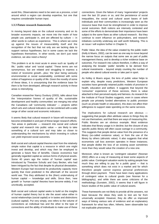avoid this, Observatories need to be seen as a process, a tool around which a region can develop expertise, but one that requires considerable human input.

#### **1.3.3 Future research frameworks**

In moving beyond data on the cultural economy and on its broader economic impacts, we move into the realm of how people use, participate in, and are affected by culture — in other words to culture as experience. This is where we come up against the issues of measurability itself and the recognition of the fact that not only are we lacking data to support various hypotheses, but in some cases we lack the hypotheses themselves. In other words, we don't just need evidence, we also need a theory!

This problem is at its most acute in areas such as 'quality of life,' 'public value' and 'social capital.' These terms are not synonymous, but are related and struggling to express a notion of 'economic growth…plus,' the 'plus' being variously environmental or social sustainability, combined with some notion of happiness or quality of life. Given the novelty of some of these ideas, it is unsurprising that the evidence base for them is far from developed, although research activity in these areas is intensifying.

Canadian researcher Nancy Duxbury (2003), talks about how the 'interpretative frames of quality of life, sustainable development and healthy communities' are merging into what the Canadians call 'community indicator' — projects within which arts and cultural indicators can be combined with a wide range of other social and economic indicators.

It seems likely that cultural research in future will increasingly become embedded in and part of these larger research efforts. Two areas in particular — research into social and cultural capital and research into public value — are likely to take something of a cultural turn and may take us closer to understanding the mechanisms by which investing in culture can yield improved social outcomes.

Both social and cultural capital theories start from the relatively simple notion that capital is a resource in which one might invest and develop, and which may then be employed to generate a future flow of benefits. Classic economics had generally regarded capital as various forms of physical assets. Some 40 years ago the notion of 'human capital' was introduced by Theodore Schultz and Gary Becker, who had been intrigued by the fact that despite its physical devastation, Western Europe had recovered its productivity capacity more quickly that most predicted in the aftermath of the second world war. This they attributed to the (then) undervaluing of human capital — knowledge and skills. Since then, 'new growth' or 'human capital' theories have become widely, if not uncritically, accepted.

Both social and cultural capital seeks to build on the insights of human capital theory but to site the asset value either in social relationships (social capital) or in tastes and distinctions (cultural capital). Put very simply, one refers to the volume of connections an individual has and the other to the type of connections and the ability of individuals to make use of these connections. Given the failure of many 'regeneration' projects over the last 20 years or so, and the persistence of social inequalities, the social and cultural asset bases of both individuals and their communities is increasingly seen as the resource base that must be strengthened in order to improve social outcomes. Both notions are intensely contested and some of the efforts to demonstrate their importance have been subject to the same flaws as other cultural research. But they continue to exert influence on policymakers, and research initiatives currently underway are well worth following. This is an issue I will explore further in Chapter 5.

Public Value, the idea of the value created by the public realm (Kelly & Muers, 2002), can be seen as one way to move beyond the narrow focus on outputs that some see as part of public management theory, and to develop a richer evidence base on outcomes. For research into culture therefore, it offers a way of analysing the broader 'public' benefits to be derived from cultural investments – beyond simply counting the number of people who attend cultural events or take part in sport.

As Kelley & Muers argue, the lens of public value helps to explain why, despite many predictions, Western European societies have generally retained public models of provision in health, education and welfare. It suggests that beyond the 'consumer' experience of these services, there is value attached to their perceived equity and fairness. As research for the Institute of Fiscal Studies suggests, even in cases where people use privately funded alternatives to public provision (such as private health or education), this does not affect their willingness to support state spending on the same services.

The implications for cultural research are obvious suggesting that people often attribute values to things they do not use themselves, and that there are ways of measuring this. Public libraries are an obvious example. Most evidence indicates that library usage is in decline; but the closure of any specific public library will often cause outrage in a community. This suggests that people derive value from the presence of a library (so-called existence value), or from the use of the library by others (altruistic value). It also suggests that what economists call loss aversion operates in these instances; that people dislike the loss of an existing asset sometimes more than they would value the creation of a new one.

Moreover, what is known as 'contingent valuation' (Noonan 2002) offers us a way of measuring at least some aspects of public value. Contingent valuation works by asking people how much they are willing to pay for a public good — that is something which does not exist in a market and for which therefore people cannot express personal preferences through direct payment. There have been many applications of contingent value to cultural goods (see Noonan for a bibliography), and while there are some criticisms of the methodology (Sunstein, 2002), it seems that it will figure in future studies of the public value of cultural assets.

These frameworks are not likely to provide all the answers, not least because the ideas they seek to test are far from universally accepted. However, they do offer us improved ways of linking various sets of evidence and an explanatory framework for what has often, hitherto, been observable but not explicable phenomena.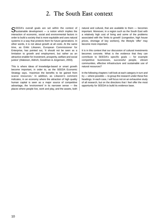# 2. The South East context

SEEDA's overall goals are set within the context of<br>Sustainable development — a notion which implies the interaction of economic, social and environmental factors in order to build a society that is more equitable and uses natural systems in a way that protects them for future generations. In other words, it is not about growth at all costs. At the same time, as Erkki Liikanen, European Commissioner for Enterprise, has pointed out, 'It should not be seen as a limitation to growth and employment, but rather as an attractive enabler for investment, prosperity, welfare and social justice' (Alakeson, Aldrich, Goodman & Jorgensen, 2003).

This is where ideas of knowledge-based or smart growth become important, in order to, as the SEEDA Economic Strategy says, 'maximize the benefits to be gained from scarce resources.' In addition, as Liikanen's comment indicates, in an economy where the attraction of high quality human capital is seen as a major source of competitive advantage, the 'environment' in its narrower sense — the places where people live, work and play, and the assets, both natural and cultural, that are available to them — becomes important. Moreover, in a region such as the South East with a relatively high cost of living and some of the problems associated with the 'limits to growth' (congestion, high house prices, shortage of key workers), the lifestyle 'offer' may become more important.

It is in this context that our discussion of cultural investments becomes concrete. What is the evidence that they can contribute to SEEDA's specific goals — for example competitive businesses, successful people, vibrant communities, effective infrastructure and sustainable use of natural resources?

In the following chapters I will look at each category in turn and try — where possible — to group the research under these five headings. In each case, I will focus not on an exhaustive study of all research, but on the directions that I feel offer the most opportunity for SEEDA to build its evidence base.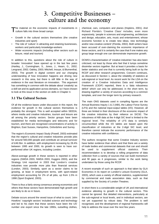# 3. Competitive Businesses – culture and the economy

The material on the economic impacts of investments in culture falls into three broad camps:

- Growth in the cultural sectors themselves (the creative industries and sport)
- The role of 'culture' in attracting and retaining businesses, workers and particularly knowledge-workers
- Wider economic impacts (including other sectors such as leisure, retail and tourism)

In addition to this, questions about the role of culture in broader 'innovation' have opened up in the last few years (Hartley, J., Cunningham, S., Jones, J., Hearn, G., 2002; Lengrand, 2002; Oakley, 2003; Mitchell, Inouye, & Blumenthal, 2003). The growth in digital content and our changing understanding of how innovation happens are driving new research in this area, but there is still little in the way of evidence in the vast literature on innovation. This argument has something in common with the debate about 'creativity' as a skill set and its application across domains, so I have chosen to look at this issue in the section on skills in Chapter 4.

## **3.1 The Cultural Sectors**

Of all the evidence bases under discussion in this report, the evidence for growth in the cultural sectors themselves is probably the strongest. This is well accepted within SEEDA, where media and creative industries, tourism and leisure are all among the priority sectors. Sector groups have been established for media technologies and telecoms and for tourism, and there are recognised concentrations of activity in Brighton, East Sussex, Hampshire, Oxfordshire and Surrey.

The region's Economic Impact Study (Powell, 2003) estimated that the region's cultural and creative industries provide jobs for around 560,000 people and contribute an annual turnover of £46.5bn. In addition, with employment increasing by 28.4% between 1995 and 2000, its growth is seen to have outperformed other UK regions, including London.

Above-average growth in these sectors is reported in other regions (SWDA 2003, NWDA 2003, Huggins 2003), and the Strategy Unit reported in 2003 that London's creative industries now provide more jobs than financial services (London, 2003). Similarly, sport as a sector claims to be growing, at least in employment terms, with sport-related employment accounting for 2% of all jobs, up from 1.5% in 1998 (Sport England, 2003).

There is thus a fairly strong consensus among economists and others that these sectors have demonstrated high growth and are likely to do so in future.

Debate occurs around the vexed issue of what to count. John Howkins' 'copyright sectors' included science and technology and led to his claim that these sectors have been the US' number one export since the late 1990s, outselling clothes,

chemical, cars, computers and planes (Hopkins, 2001). And Richard Florida's 'Creative Class' includes, even more expansively, 'people in sciences and engineering, architecture and design, education, arts, music and entertainment, whose economic function is to create new ideas, new technology and/or new creative content' (Florida, 2002). Both writers have been accused of over-claiming the economic importance of these sectors, and it is certainly the case that if one makes any group large enough one can demonstrate impressive growth.

DCMS's characterisation of 'creative industries' has also been criticised, not least by those who feel that it lumps sometime dissimilar sectors together. But at least it provides a basis for better statistics and one that is currently being built on by the RCDF and other research programmes. Concern continues, as discussed in Section 1, about the reliability of statistics at sub-regional or local level. As recent work for the LDA on the creation of a Creative Industries Data and Intelligence Framework (CIDIF) reported, there is a 'data robustness deficit' which can only be addressed, in the short term, by drawing together a variety of sources according to a common template, and over the longer term by primary research.

The main ONS datasets used in compiling figures are the Annual Business Inquiry 1 & 2 (ABI), the Labour Force Survey (LFS) and the national input-output tables (I/O). However, all three are limited in their disclosure of the economic impact of the creative industries by their reliance on SIC92. The robustness of ABI data at the 4-digit SIC level is limited to the regional level. The reliability of LFS data is similarly circumscribed while the I/O tables are based upon the classification of industries at the 2-digit SIC level, and therefore cannot indicate the economic performance of the creative industries with confidence.

The authors recognise that some Creative Industry sectors have better evidence than others and that there are a variety of trade bodies and commercial datasets that can and should be used to supplement official statistics. Their recommendation is to develop a rolling programme of data collection from a variety of sources that can build momentum and fill gaps as it progresses, similar to the work being undertaken by those using the RCDF.

A recent example of such an approach is that taken by GLA Economics in its report on London's Leisure Economy (GLA, 2003), which uses a variety of official statistics, supplemented by commercial and trade association data, such as that supplied by the Society of London Theatres.

In short there is a considerable weight of UK and international evidence attesting to growth in the cultural sectors. This cannot be ignored. But detailed interventions, particularly at the sub-regional or local levels, and in individual sectors, are not yet supported by robust data. The problem is well recognised, and the development of regional frameworks will help to address the issue over the next few years.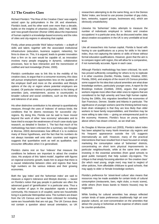# **3.2 The Creative Class**

Richard Florida's 'The Rise of the Creative Class' was eagerly seized upon by policymakers in the UK and elsewhere. Florida's book, and his other work over more than a decade, builds on the insights of urbanists (Jacobs, 1992; Hall, 1998) and 'new growth theorists' (Romer 1994) about the importance of human capital in a knowledge-based economy and the roles of cities and city-regions in attracting that capital.

Firstly, urban areas provide 'thick' labour markets — a depth of skills and talent, together with the associated institutional infrastructure (education, business support, networks), for firms to draw on. This, it is argued, leads to greater innovation than a firm on its own would be capable of, as innovation involves many people engaging in dynamic, collaborative processes, face to face interaction and the transmission of codified and tacit knowledge (Porter, 2000).

Florida's contribution was to link this to the mobility of his creative class, to argue that in a consumer economy, this class will pursue employment opportunities less on the qualities of the employer itself and more on the amenities and lifestyle options of the city or region where potential employers are located. Of particular interest to policymakers is his linking of amenities (arts, entertainment, access to countryside) to broader cultural and social conditions, such as the diversity and tolerance of an area.

His other distinctive contribution is his attempt to quantitatively measure, through the uses of 'indexes' of various kinds, the conditions that he deems necessary for successful cityregions. By doing this, Florida can be said to have moved beyond the work of other 'new economy' advocates and to have tried to escape the weaknesses of much case-study type research, as detailed in Section 1. The fact that much of his methodology has been criticised (for a summary, see Douglas & Morrow, 2003) demonstrates how difficult it is to evidence many of these hypotheses, and the fact that his numbers do not always translate well onto other countries and regions suggests that quantitative work as well as qualitative, can encounter difficulties when it is generalised.

Florida's claims rest on four 'indexes' that measure the conditions he believes are important to attract the creative class. His analysis of this 'talent model', together with figures on regional economic growth, leads him to argue that there is a causal relationship between cities and regions that have high numbers on the various indexes and their growing economies.

Both the 'gay index' and the 'bohemian index' are said to measure a region's tolerance and lifestyle diversity — based on Florida's notion that gay people in particular are often the advanced guard of 'gentrification' in a particular area. Thus a high number of gays in the population signals a tolerant community. His measure is of coupled, same-sex households living in a particular Metropolitan area. The numbers are drawn from the US Census and have been criticised for including same-sex households that are not gay. The UK Census does not contain a question about sexual orientation, so UK researchers attempting to do the same thing, as in the Demos 'Boho' Index, are forced to use proxies (number of gay clubs, bars, networks, support groups, businesses etc), which are obviously unsatisfactory.

Likewise his 'bohemian' index attempts to measure the number of individuals employed in 'artistic and creative occupations' in a particular area. But as discussed earlier, data about creative occupations in the UK is very unreliable at local level.

Like all researchers into human capital, Florida is faced with having to use qualifications as a proxy for skills in his talent index, thus not capturing the talents or skills of those without formal education qualifications. However, given that the aim is to compare region with region, this will allow for a comparative, if not numerically accurate, figure in each case.

Although Florida's methodology has been criticised, his work has proved sufficiently compelling for others to try to replicate it in other countries (Gertler, Florida, Gates, Vinodrai, 2002; Florida, 2004), and analysis of the recent US Census provides some support for his idea that cultural amenities are what draw knowledge workers, particularly younger ones. A report for the Brookings Institute (Gottlieb, 2004), argues that younger workers migrate more often than older ones to regions that are considered to be high amenity and have high human capital. During the 1990s, this migration benefited the economies of San Francisco, Denver, Seattle and Atlanta in particular. The significance of younger workers (and the thinking behind many brain drain strategies) is that they are less likely than older workers to have family responsibilities, and therefore may be more willing to take risks — giving an entrepreneurial push to the economy. However, Florida's focus on young workers above others has drawn criticism, as we shall see.

As Douglas & Morrow point out (2003), Florida's talent index has been adopted by many North American city regions and his frequent appearance outside the US suggests internationally as well. However, many of the practical interventions that have resulted from it have focused on simply marketing the consumption value of 'bohemian' districts, concentrating on short term physical improvements to particular neighbourhoods, while at the same time underinvesting in the essential amenities (from good schools to good public transport) that help sustain city-regions. The critique is that simply focussing attention on 'the creative class' (for which read young, single men) may lead to neglect of other policies, from affordable childcare to good schools, that may apply to older or female knowledge workers.

Florida's preference for 'street-level culture' also means that resources may be made available for certain kinds of cultural consumption (restaurants, bars, night clubs, a music scene), while others (from brass bands to historic houses) may be neglected.

While funding for cultural amenities has always reflected certain kinds of taste preferences (traditionally high art over popular culture), an over-concentration on the amenities that attract the young or bohemian at the expense of others could be counter-productive.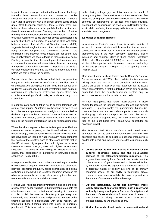In particular, we do not yet understand how the mix of publiclyfunded culture, community arts and commercial creative industries that exist in most cities work together. It seems likely that in countries with a relatively strong public culture (most West European countries), there is some cross over between those who work in the publicly funded sectors and those in creative industries. One only has to think of actors (moving from the subsidised theatre to commercial TV or film) or artists (working on public art or for private commissions) to realise that there is a degree of leakage of skills and talent between sectors. Indeed, Stern & Siefert's research (2002) suggests that although artists and other cultural workers move freely between non-profit and commercial sectors — the institutional links between these sectors are not strong, and that in policy terms we need to focus on these structural holes. Similarly, it may be that the development of audience and consumers for creative industries takes place in community arts spaces or via public education. The point is that this is a complex ecology and one that we need to understand better before we start altering the habitats.

Florida, himself has recently conceded that it appears that many of us value the existence of cultural amenities, even if we do not actively participate in them. Thus the presence of (in his terms) 'old economy' big-ticket investments such as major museums and galleries or professional sports stadia may contribute to feelings of civic pride, as much as a lively music scene does.

In addition, care must be taken not to conflate tolerance with cultural consumption. An interest in ethnic food or world music is not the same as genuine racial or religious tolerance. Before declaring a place as being 'tolerant,' other indicators need to be taken into account, such as racial divisions in the labour force, or the number of attacks on racial or religious minorities.

When that does happen, a less optimistic picture of Florida's creative economy appears, as he himself admits in more recent writings, (Florida 2004). His colleague Kevin Stolarick, has developed an index of wage inequality which compares the wages of the creative class to others and reveals that, in the US at least, city-regions that rank highest in terms of creative economic strength, also rank highest in economic inequality. This builds on the findings of Robert Reich and others, that polarisation is increasing in knowledge-based economies (Reich, 2000).

In response to this, Florida and others are working on a series of new research projects, which aim to capture the relationship between economic inequality, racial segregation and social exclusion on one hand, and 'creative economy' growth on the other — presumably providing policy prescriptions that lean more towards sustainable social outcomes.

Florida's work has been intensely influential and from the point of view of this paper, valuable in that it demonstrates both the effectiveness and the limitations of seeking to measure complex social phenomenon. His attempt to get away from case-study type generalisations and put some numbers on his findings appeals to policymakers with good reason. But translating those findings back into policy is inherently problematic. This is in part because it confuses means with ends. Having a large gay population may be the result of having a long-term liberal culture (as in the case of say, San Francisco or Brighton) and that liberal culture is likely to be the outcome of generations of political and social struggle. Creating those conditions in the short term is difficult to say the least, while confusing them simply with lifestyle amenities is simplistic, even dangerous.

#### **3.3 Wider economic impacts**

In addition to Florida's work; there is a wide variety of 'economic' impact studies which examine the economic contribution of culture, both in terms of the cultural sectors themselves and in the wider economy (particularly leisure industries and tourism). Many of these studies (Monteray 2002; Locke, Shepherd & Felt 2000,) are one-off snapshots or studies of the impact of particular events; or are focused solely on the arts (Kopczynski & Hager, 2003) or sporting events (Halifax, 2002).

More recent work, such as Essex County Council's Creative Consequences report (2003), often conflates the two terms talking about 'the arts' on some occasions and the wider culture on others. In fact what has happened, as the Essex report demonstrates, is that the definition of 'the arts' has been expanded, from the publicly-subsidised sectors only, to encompass sectors such as crafts or new media.

As Andy Pratt (1997) has noted, much attention in these studies focuses on the indirect impact of the arts and cultural industries — predominantly via participation figures (ie. consumer behaviour) and secondary impacts on sectors such as shopping, tourism and transport. Yet the notion of economic impact remains a disputed one, with little agreement (other than at the most basic level) about what constitutes an economic impact.

The European Task Force on Culture and Development attempted, in 1997, to sum up the contribution of culture, both economic and social. Its depiction of economic impacts were divided into direct and indirect and included arguments such as:

- **Culture serves as the main source of content for the cultural industries, media and the value-added services of the telecommunication industries.** This argument has recently found favour in the debate over the cultural aspects of globalisation and is developed further by Venturelli (2002). He argues that the cultural assets of a particular nation or society are one of its primary economic assets, as our ability to 'continually create content, or new forms of widely distributed expression' is the source of future competitive advantage.
- **Cultural institutions, events and activities create locally significant economic effects, both directly and indirectly through multipliers.** This use of multipliers and the stream of case studies that focus on specific events, is one of the most widely criticised aspects of economic impacts studies, as we shall see shortly.
- **Works of art and cultural products create national and**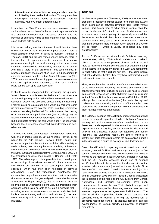**international stocks of idea or images, which can be exploited by the creative industries.** This argument has been given particular focus by digitisation (see for example, Xamax/Content Strategies 2003).

In addition, the Task Force featured more marginal claims, such as the economic benefits that accrue to sponsors of arts and cultural institutions from increased esteem, and the benefits of additional value-adding markets, such as gallery sales and fine arts auctions.

It is the second argument and the use of multipliers that have drawn most criticisms of economic impact studies. There is often confusion over how to define a multiplier (Johnson & Thomas, 2001) and practice varies widely. Second, there is the problem of opportunity costs again — if a festival generates spending in the local economy, is that more or less spending than would be generated by another type of event? And finally there is the problem of long-term studies. In practice, multiplier effects are often used in bid documents to estimate economic benefits, but as Adrian Ellis points out (Ellis 2003), 'estimates used for funding proposals are almost never compared against actual outcomes, so that some empirical basis can be built up to test assertions.'

It should also be recognised that answering the question, 'what difference has this event/festival made?' is not the same as answering the question, 'what difference would it make if it was taken away?' The economic effects of say, the Edinburgh Festival, could be calculated; but it would be harder to come up with a measure of the potential costs, including reputational costs, of canceling the Festival. Similarly however, the opening of a new venue in a particular area (say a gallery) may be associated with other venues opening up around it (say bars). But that is not to say that the bars would close if the gallery did, because the businesses concerned might diversify and seek other markets.

The criticisms above point yet again to the problem associated with one-off impact studies. Yet as Michelle Reeves, in her paper for the Arts Council (Reeves, 2002), points out, economic impact studies continue to thrive with a variety of methods being used. Among the more promising of these and the one used in both recent work for the South West (Joining the Dots, 2003) and Essex (Creative Consequences, 2003), is the production or value chain model (O'Connor, 1998; Pratt, 1997). The advantage of this approach is that it develops an understanding of the whole process of cultural activity and thus directs our attention to the consumption end of the spectrum, which has often been neglected in previous approaches. Given the widespread hypotheses that consumption helps drive innovation in the creative industries (for example, recent changes in digital content distribution as a reaction to illegal copying), this is a crucial area for policymakers to understand. If done well, the production chain approach should also be able to act as a diagnostic tool revealing where the weaknesses are — in production (with implications for training and skills), in distribution (do we need more venues?) or in consumption (do we need more local markets?)

#### **TOURISM**

As Guetzkow points out (Guetzkow, 2002), one of the major problems in economic impact studies of tourism has always been distinguishing between revenues from locals versus tourists, and determining to what extent 'culture' was the reason for the tourists' visits. In the case of individual venues, a museum say, or an art gallery, it is generally assumed that the reason people visit them is that they are museums or galleries (rather than, say, to get in out of the rain). But the argument becomes more complex when applied to a whole city or region — where a variety of reasons may exist simultaneously.

As the GLA's recent report on London's leisure economy demonstrates, (GLA, 2003) official statistics can make it difficult to get at the actual patterns of tourist activity and still more to make clear causal connections. For example, if a trip to the theatre is followed by dinner in a West End restaurant; to what extent is that a cultural spin-off? If the same people had not visited the theatre, they may have patronised a local restaurant instead, for example.

Thus, although tourism remains one of the more studied areas of the wider cultural economy, the extent and nature of its connections with other cultural sectors is still hard to unpick from current research. As Victor Middleton notes in his report for the LGA and British Resorts Association (Middleton, 2002), although far more local authorities (often aided by regional bodies) are now measuring the impacts of local tourism than previously, the quality of management information available to them has not improved dramatically.

This is largely because of the difficulty of representing national data at the requisite spatial level. Where 'bottom up' statistics are required, visitor surveys are often commissioned, but as these are rarely repeated in the same form (as they are expensive to carry out) they do not provide the kind of trend analysis that is needed. Instead most agencies use models (generally the Cambridge model), the aim of which is to identify key parts of the picture from the data available and fill in the gaps using a series of average or imputed variables.

Given the difficulty in unpicking tourist spend from retail, transport, cultural facilities and leisure (to name just a few sectors), several countries have experimented with what is known as the 'Tourism Satellite Account.' Initiated in Canada and the US, satellite accounts make use of national input/output tables, to better capture the demand side of the equation (who spends what) as well as the supply side. Since then the OECD and World Travel & Tourism Council (WTTC) have produced satellite accounts for a number of countries, and in December 2003 Minister Richard Caborn announced the importation of the model to the UK. Experts from Cardiff, Nottingham and Limerick Universities have been commissioned to create the pilot TSA, which it is hoped will pull together a variety of benchmarking information on tourism into one comprehensive package of statistical information. The aim, in addition to providing details on the structure and economic value of tourism, is to help the development of economic models for tourism – to test how policies or external events impact on tourism growth, employment or industry productivity.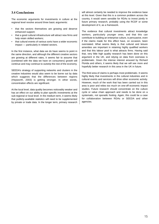# **3.4 Conclusions**

The economic arguments for investments in culture at the regional level revolve around three basic arguments:

- that the sectors themselves are growing and deserve enhanced support;
- that a good cultural infrastructure will attract new firms and help retain skilled workers;
- that cultural events of various sorts have a wider economic impact — particularly in related sectors.

In the first instance, what data we do have seems to point in the same direction, and although the different creative sectors are growing at different rates, it seems fair to assume that (combined with the data we have on consumers) growth will continue and may continue to outstrip the rest of the economy.

SEEDA's strategy of supporting networks and clusters in the creative industries would also seem to be borne out by data which suggests that the differences between regions (Hepworth, 2003) is getting stronger. In other words, concentration effects are significant.

At the local level, data quality becomes noticeably weaker and has an effect on our ability to plan specific investments at the sub-regional or local level. In the medium term, it seems likely that publicly-available statistics will need to be supplemented by private or trade data. In the longer term, primary research will almost certainly be needed to improve the evidence base at this level. Given that this is a common problem across the country, it would seem sensible for RDAs to invest jointly in future primary research, probably using the RCDF or some development of it, as a framework.

The evidence that cultural investments attract knowledge workers, particularly younger ones, and that this can contribute to building an enterprise culture, is persuasive, even if the claims made for this effect have, on occasion, been overstated. What seems likely is that cultural and leisure amenities are important in retaining highly qualified workers and that this labour pool is what attracts firms. Having said that, very little high quality research has been done on this argument in the UK, and relying on data from overseas is problematic. Given the intense interest aroused by Richard Florida and others, it seems likely that we will see more and hopefully better research in this area in the UK in future.

The third area of claims is perhaps most problematic. It seems highly likely that investments in the cultural industries and in cultural events and services will drive other economic activity. However, much of the work that has been carried out in this area is poor and relies too much on one-off economic impact studies. Future research should concentrate on the culture cycle or value chain approach and needs to be done on a systematic, not sporadic footing. Again, this could be a case for collaboration between RDAs or SEEDA and other agencies.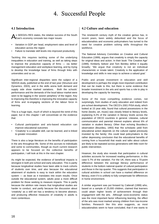# 4. Successful People

## **4.1 Introduction**

As SEEDA's RES states, the relative success of the South **LEast's economy conceals two major issues:** 

- Variation in GDP per head, employment rates and level of education across the region
- Failure to translate skill levels into improved productivity

Tackling this requires tackling some of the underlying inequalities in education and training, as well as taking steps to improve the productive capacity of firms — via better management education and workplace learning, and by trying to develop the knowledge base of firms through links with universities and so on.

Significant inter-regional disparities were the subject of a SEEDA study, published at the end of last year (Structure and Dynamics, 2003), and in the skills arena both demand and supply side show marked variations. Both the schools' performance and the demands of the local labour market were seen to be lagging in the 'poorer periphery' of the region. Key to improving this therefore is improving the innovative capacity of firms and re-engaging sections of the labour force in learning.

This is a huge topic, much of which is beyond the remit of this paper, but in this chapter I will concentrate on the evidence that:

- Cultural participation and arts-based education can improve educational outcomes
- 'Creativity' is a valuable skill, can be learned, and is linked to greater innovation

There is also a large literature on the benefits of participation in the arts throughout life. Some of this accrues to individuals and some to communities, though as much current research appears to be focused on the collective benefits of participation, I will look at this in the next chapter.

As might be expected, the evidence of beneficial impacts is strongest in both pre-school and early education. This is partly because longitudinal studies have been able to track cohorts of students over time, and also because the educational attainment of students is easy to track within the education system — as least as it translates into exam results. Once outside the educational system, adults pose a more difficult problem for those seeking to measure impacts. This is partly because the attrition rate means that longitudinal studies are harder to conduct, and partly because the discussion about 'creativity' as a skill set has a tendency to become abstract, and producing effective measures of creativity in adults is more contentious.

## **4.2 Culture and education**

The nineteenth century myth of the creative genius has, in recent years, been widely debunked and the focus of educationalists and economic policymakers has turned to the need for creative problem solving skills throughout the workforce.

The National Advisory Committee on Creative and Cultural Education (1999), argues that creativity is simply the capacity for original ideas and action. In their book 'The Creative Age' (1999), Kimberly Seltzer and Tom Bentley define it equally broadly; 'We argue that creativity is not an individual characteristic or innate talent. Creativity is the application of knowledge and skills in new ways to achieve a valued goal.'

Public and private investment in education and skill development is perhaps the single most important contribution that can be made to this, but there is some evidence that broader investment in the arts and sports has a role to play in developing the capacity for learning.

Some of the most compelling evidence comes, not surprisingly, from studies of early education and indeed from pre-school development. The OECD's 2001 PISA study, which looked at 15 year olds, found that cultural possessions in the home (books, art, music) was closely linked to literacy levels, explaining 8.2% of the variation in literacy levels across the population of OECD countries in general. Likewise, cultural communication and parental interest explains almost 6% of variation in student literacy. Other than echoing Bourdieu's observation (Bourdieu, 1993) that 'the scholastic yield from educational action depends on the cultural capital previously invested by the family,' this could lead policymakers to the rather depressing conclusion that the educational benefits of coming from a household that reads and talks about culture are likely to be repeated across generations with little room for public intervention.

However, the study also reveals that participation in cultural activities accounts for increased reading performance, in this case 5.7% of the variation. For the UK, there was a 70-point difference between the average literacy performance of students in the bottom national quarter of cultural participation and those in the top quarter. This suggests that participation in cultural activities in school can have a marked difference on literacy, even if it is unlikely to fully compensate for differences in home environment.

A similar argument was put forward by Catterall (1999) who, based on a sample of 25,000 children, claimed that learners could attain higher levels of achievement through their engagement with the arts. Although socio-economic status was the most important factor influencing learning, the effect of the arts was most marked among children from low-income families. Research like this also suggests, as most educationalists seem to have concluded, that if one wants to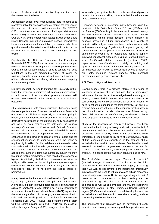improve life chances via the educational system, the earlier the intervention, the better.

At secondary school level, what evidence there is seems to be most favourable for specialist schools, though the evidence in this case needs to be taken with great caution. The OFSTED (2001) report on the performance of all specialist schools (since 1995) showed that the linear trends increase in GCSE/GNVQ points scores was fastest in Arts Schools and Sports Schools (over other maintained schools) respectively. However, as with other 'league-table' type data on schools questions need to be asked about intake and in particular, the children who are refused entry, or not encouraged to take exams.

Significantly, the National Foundation for Educational Research (NFER, 2000) found 'no sound evidence to support the claim that the arts boost general academic performance at GCSE,' though its case studies of specific schools with good reputations in the arts produced a variety of claims (by students) from the banal: 'dance offered increased awareness of the body' — to the bewildering: 'drama nurtured empathy and the valuing of others.'

Similarly, research by Leeds Metropolitan University (2002) found that evidence of improved educational outcomes tends to be in aspects of personal development (motivation, selfesteem, interpersonal skills), rather than in examination outcomes.

Others would argue, with some justification, that simply taking the exam performance of students as evidence of favourable outcomes is insufficient — especially as education policy in recent years has often been criticised for what is seen as the destructive narrowness of the curriculum, early specialisation and focus on exam results as the sole aim. The National Advisory Committee on Creative and Cultural Education reports: 'All our Futures' (2000) was influential in alerting commentators to the discrepancy between the economic challenges as laid down in successive White Papers and the educational response. In other words, while the economy requires highly skilled, flexible, self-learners, the need to raise standards in education has led to greater emphasis on outputs and targets, perhaps at the risk of experimentation. In addition, the number of tests has increased, though we know that much testing emphasises simple recall at the expense of higher critical thinking. And while commentators stress that the ability to fail is part of the vital training for entrepreneurship and creativity, schools can no longer afford to fail (or have pupils that do) for fear of falling down the league tables of performance.

It may therefore be that the additional benefits of participation in, or study of, the arts, do not show up in improved GCSE or A level results but in improved personal skills, communication skills and 'emotional literacy.' If this is so, it is not insignificant. A recent edition of Labour Market Trends (2002) argues that the most sought after skills by employers are communication skills and team working, while the Institute for Employment Research (IER, 2001) reveals that problem solving, team working, communication skills and IT skills are key areas of skills shortages. Jermyn (2001) suggests that there is a

'growing body of opinion' that believes that arts-based projects develop these kinds of skills, but admits that the evidence so far is somewhat limited.

Research, however, is increasing, partly because since the publication of the Policy Action Team 10 Report (1999) and All our Futures (2000), activity in this area has increased, notably with the launch of Creative Partnerships in 2000. Creative Partnerships, which brings together school children in deprived areas and cultural professionals in a variety of projects, will be subject to a relatively comprehensive research and evaluation strategy. Significantly, it hopes to go beyond simply audience development measures (counting increased attendance at events as an output) and hopes to capture improved educational outcomes, including improved ability to learn. As Gerald Lidstone comments (Lidstone, 2003), capturing such benefits depends crucially on defining and agreeing on what is meant by improved learning outcomes but suggests they should be measurable across a range of skill sets, including subject specific skills personal development and general cognitive skills.

## **4.3 Creativity and innovation**

Beyond school, there is a growing interest in the notion of 'creativity' as a core skill set and one that is increasingly valuable in the workforce. A knowledge-based economy, it is argued, requires flexible learners, risk takers and those who can challenge conventional wisdom, all of which seems to point to notions embedded in the term creativity. Not only are creative types more valuable in the economy for their work in the cultural industries, but also other sections of the economy, from public services to manufacturing, are deemed to be in need of greater 'creativity' to improve competitiveness.

Much of the research on creativity however, has been conducted either in the psychological domain or in the field of management, and both literatures are packed with works discussing human creativity and how it can be facilitated in the workplace. From a public policy point of view however, much of this research is too specialised or too focused at the individual or firm level, to be of much use. Despite widespread interest in this field and large-scale consensus on the need for a more creative workforce, little high-quality research on creativity in a social context has been conducted up to now.

The Rockefeller-sponsored report 'Beyond Productivity' (Mitchell, Inouye, Blumenthal, 2003) looked at the links between creativity and information technology (IT), arguing that if we want to get beyond mere incremental productivity improvements, we need to link creative and artistic processes more directly to our use of IT. Its message, along with that of many modern commentators, is that creativity can be developed through education, that it is an attribute of teams and groups as well as of individuals, and that the supporting environment matters. In other words, as Howard Gardner argues (1993), creativity exists in the relationship between an individual, the discipline in which he or she is working, and the surrounding field or environment.

The arguments that creativity can be developed through education and training are currently widely supported among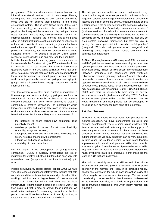policymakers. This has led to an increasing emphasis on the informal educational sectors, both to encourage life-long learning and more specifically to offer second chances to those who did not achieve their potential in the formal educational system. This is what Sefton-Green (2004) calls 'the wider ecology of education, where schools, homes, playtime, the library and the museum all play their part.' As he notes however, there is very little systematic research on informal learning, including the learning that takes places either in cultural institutions such as museums or galleries, or at home via a variety of media, including digital media. Many evaluations of specific programmes by broadcasters, or projects in museums, for example, provide only a broad statistical picture — for example, in an UK Online centre, number of users, gender, age and how long they use ICTs but little that analyses the learning going on in such contexts. He commends the Orr Vered study of ICT in after-school care in Australia (2002), but argues that there is little similar qualitative work in the UK. What qualitative work has been done, he argues, tends to focus on those who are motivated to learn, and the absence of control groups means that such work is not particularly useful for policymakers trying to grapple with the issue of how to engage reluctant learners via informal learning.

The development of creative hubs, clusters or incubators is likewise supported enthusiastically by policymakers from the more formal 'lab-type' scientific incubators to the informal creative industries hub, which exists primarily to create a community of creative companies. The methods by which knowledge transfer and learning take place in these informal environments are much less well understood than in sciencebased industries, but it seems likely that a combination of:

- the potential to share technology/ equipment (and potentially space);
- suitable properties in terms of cost, size, flexibility, scalability, image and location;
- appropriate social venues to share ideas, knowledge and so on, including sharing it with consumers;
- a focus for, and access to, finance;
- availability of cheap broadband

can be helpful in the development of young creative companies. DCMS is currently investigating the role of incubators for creative industries, but there has been very little research on them (as opposed to traditional incubators) up to now.

Indeed, as Steven Jay Tepper argues (Tepper 2003), we have very little research and indeed relatively few theories that help us understand the social context for creativity. He asks: 'What working conditions lead to higher levels of creative output? What is an innovation milieu and what type of local infrastructure fosters higher degrees of creative work?' He then points out that in order to answer these questions, we need better strategies for measuring innovation in the first place. How would we know, he asks, if one city, or firm, or sector was more or less innovative than another?

This is in part because traditional research on innovation may be not be looking at the whole picture. It continues to focus largely on science, technology and manufacturing, despite the fact that the bulk of economic activity, employment and output is taking place in the service sectors of the economy. What are sometimes called the 'knowledge consumption services,' (business services, plus education, leisure and entertainment, communications and the media) in fact make up the bulk of economic activity in most developed economies. Not only do such sectors innovative themselves, but they are vital in turning 'technical potential into socially useful practice' (Lengrand 2002) via their generation of managerial and marketing skills, organizational, social, economic and administrative knowledge.

As Stuart Cunningham argues (Cunningham 2003), innovation and R&D policies are evolving, based on ecological more than systems paradigms, and there is now talk of 'third generation' innovation policy. These policies stress interconnectedness (between producers and consumers, joint ventures, collaborative research groupings and so on), which reflects the more web-like nature of innovation in creative industries, as opposed to the traditional value 'chain.' Yet the evidence base on which these policies rests, remains underdeveloped. This may be changing (see for example, Cutler & Co, 2003; Hirsch, 2000), and there is considerably more work on service innovation for example (Andersen and Corley, 2002). But how innovation takes places within creative industries, how we would measure it and how policies can be developed to encourage it, is an 'evidence-light' zone at the moment.

## **4.4 Conclusions**

In looking at the effects on individuals from participation or cultural education, we have concentrated on skills and personal development. There is some strong evidence that, from an educational and particularly from a literacy point of view, early exposure to a variety of cultural forms can have beneficial effects. Home influence remains dominant, but cultural influences via early education can be very influential. In later years, the evidence seems to point more towards improvements in social and personal skills, than specific educational gains. Given the nature of personal or social skills, they are harder to measure than say, improved literacy, but much of what we learn from employers is that these are the kinds of skills that are in demand.

The notion of creativity as a broad skill set and of its links to innovation and economic growth is attracting a lot of policy attention at the moment and research is increasing rapidly, despite the fact that in the UK at least, innovation policy still refers largely to science and technology. Yet we need considerably more research into how innovation is developed in the creative industries, what kinds of organisational and social structures facilitate it and which policy regimes can support it.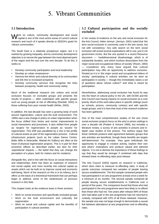# 5. Vibrant Communities

## **5.1 Introduction**

Vork on culture, community development and social capital is one of the most active areas of current cultural research and much of it speaks directly to SEEDA's goals for 'vibrant communities.'

The South East is a relatively prosperous region, but it is marked by growing inequality, and its community development objective is to narrow the gap between the most deprived parts of the region and the rest over the next decade. To do this, it seeks to:

- Develop community participation and local leadership
- Develop an urban renaissance•
- Harness the ethnic and cultural diversity of its communities and link this to increased prosperity
- Develop community services that recognise the links between prosperity, health and community safety

Much of the traditional research into culture and social exclusion focuses on excluded groups and presents the results of projects — often undertaken with specific groups such as young people at risk of offending (Randall, 2002) or those suffering from poor mental health (White, 2003).

In addition, the last decade has seen a growing body of work around regeneration, culture and the built environment. The 1990s saw a sea change in policy on urban regeneration when the focus shifted from bricks and mortar improvements to social interactions and processes. It also shifted from people as 'targets' for regeneration to people as 'assets' for regeneration. This shift was paralleled by a rise in the profile of cultural assets as part of the regeneration process. Cultural infrastructure projects (such as the Laban Dance Centre, Baltic Mills in Newcastle, Walsall Art Gallery) are often at the heart of physical regeneration projects. This is in part for their economic effects as described earlier, but also for their 'aspirational' impacts — the belief that they can change the perception of a place, both for visitors and for residents.

Alongside this, and in line with the focus on social interactions and relationships, there has been an explosion of research into social capital, and more recently into cultural capital as assets which can be built on to improve social and economic well-being. Much of the research on this is in its infancy, but it offers us the basis of a theoretical framework that can perhaps begin to address some of the weaknesses of previous research in this field.

This chapter looks at the evidence base in three sections:

- Work on social exclusion and specifically excluded groups
- Work on the built environment and culturally led regeneration
- Work on social and cultural capital and the benefits of participation in cultural activities

### **5.2 Cultural participation and the socially excluded**

In her review of evidence on the arts and social exclusion for the Arts Council, Helen Jermyn (Jermyn, 2001) noted that 'the term social exclusion is commonly used in the arts sector, but not with consistency.' Any web search on the term social exclusion will reveal several explanations still in use, just in UK government circles. But the one quoted in a recent Resource document — 'multidimensional disadvantage, which is of substantial duration, and which involves dissociation from the major social and occupational milieux of society' (Room, 1993) — crystallizes why many have argued that cultural participation may offer an opportunity to address exclusion. Rooted as it is in 'the major social and occupational milieux of society,' participating in cultural activities can be seen as participation in society — though this immediately raises a set of questions about 'whose culture?' and what is meant by participation.

Nevertheless, addressing social exclusion has found its way into the heart of cultural policy in the UK, with DCMS and the Arts Council now having impacts on social exclusion as a core priority. Much of this work takes place in specific settings (such as schools, prisons, community centres) and with specific target groups, and it is here that most of the research evidence has been gathered.

One of the most comprehensive studies of the arts (most social exclusion projects focus on the arts) in prison settings is over a decade old (Peaker & Vincent 1990), but includes a literature review, a survey of arts activities in prisons and indepth case studies of five prisons. The authors argue that these methods produce wide agreement between groups that arts activities are beneficial, though these benefits are largely self-determined. For example, 'they gave individuals the opportunity to engage in creative activity, explore their own and others' motivations and produce valued and admired objects.' It is not to dismiss the importance of these findings to say that they would be stronger if combined with data that showed lower re-offending rates post-release.

The Arts Council (2003) reports on research in California, which does claim to measure re-offending rates. A study of parole outcomes compared two samples of people leaving secure establishments. The first sample contained people who had participated in an arts programme at least once a week for a minimum of six months. The second sample contained all people leaving secure establishments in California over a period of five years. The comparison found that those who had participated in the arts programme were less likely to re-offend than those who had not. Two years after release 69% of those who had taken part in the arts programme had not returned to custody, compared with 42% of all those released. However, the sample size was not large enough to demonstrate a causal link between attendance at arts programmes and re-offending rates.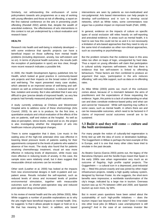Similarly, not withstanding the enthusiasm of some policymakers towards arts programmes as a way of working with young offenders and those at risk of offending, a report on the first national conference on the arts in preventing youth offending (Randall 2002) admits that, despite the wealth of anecdotal evidence, 'the effectiveness of arts interventions in this context is not yet underpinned by a robust evaluation and research base.'

#### **HEALTH**

Research into health and well-being is relatively developed with some evidence that specific projects can have a beneficial impact on those suffering from mental health problems (including depression, anxiety, low self-esteem and so on). In terms of physical health outcomes, the results (with the exception of participation in sport) are less clear, though more recent research indicates a possible link.

In 2000, the Health Development Agency published Arts for Health, which looked at good practice in community-based arts projects and their impacts on the broad notion of health and well-being. The report presented many case studies, which attested to an improved sense of well-being and selfesteem as well as enhanced motivation, a reduced sense of fear, isolation and anxiety. But it also admitted that it was very difficult to give 'precise details of improved health,' as very few projects had formally measured physical health outcomes.

A study currently underway at Chelsea and Westminster Hospital aims to address some of these shortcomings (Arts Council, 2003). Its aim is to produce, for the first time, a quantitative analysis and critical evaluation of the effects of the arts on patients, staff and visitors at the hospital. As well as data on perception, stress levels, mood and so on, the project is also investigating whether the integration of arts into healthcare induces physiological changes.

There is some suggestion that it does. Live music in the waiting area of the high-risk antenatal clinic was effective in lowering blood pressure levels of patients waiting for their appointments compared to the levels of patients who waited in absence of live music. The study also found that for patients receiving chemotherapy treatment, visual art was more effective in reducing levels of depression, while music was more effective in reducing levels of anxiety. In this case, the sample sizes were relatively small, but it does suggest that measurable clinical outcomes can be recorded.

Other work (Leather et al, 2000) has looked at the impacts from new environmental designs in both in-patient and outpatient areas. Results included the self-reported, such as reduced levels of stress and increased levels of positive environmental stimulation, together with measurable outcomes such as shorter post-operative stay and reduced post-operative drug consumption.

In his review of mental health and the arts (White 2003), Mike White suggests a number of possible explanations as to why the arts might have beneficial impacts on mental health. One, he suggests 'is that it allows people to regain or hold on to a life that has meaning for them', in addition, arts based interventions are seen by patients as non-medicalised and non-judgmental. Arts based interventions can help people to develop self-confidence and in turn to develop social networks, which as White notes, some commentators now argue has a positive impact on improved heath (Pahl, 1999).

In general, evidence on the impacts of culture on specific types of social exclusion still relies heavily on self-reporting and anecdotal evidence. In areas such as mental health, it is hard to see how this could not be so and it is not necessarily a limitation of arts-based approaches that they need to rely on the same kind of evaluation as other non-clinical approaches, such as counseling or psychotherapy.

But the problem remains that the evidence base in this area relies too often on leaps of logic, unsupported by hard data. Thus a report on young offenders will claim that participation in cultural activity improves self-esteem. And that there is evidence that low self-esteem is linked to offending behaviours. These factors are then combined to produce an argument that says, 'participation in the arts reduces offending,' with very little support, such as data on re-offending rates.

As Mike White (2003) points out, much of this confusion comes about, because of 'a mismatch between the aims of practitioners and the expectations of those requesting the evidence.' Again, this points to a lack of understanding on what can and does constitute evidence-based policy and what can and cannot be 'measured.' While self-reporting may suffice in some cases, such as mental health, in others there are and can be measurable outcomes, which need to be factored in if claims of improved social outcomes overall are to be sustained.

#### **5.3 Build it and they will come — culture and the built environment**

For many people the notion of culturally-led regeneration is firmly tied up with the idea of iconic or destination buildings. The Guggenheim in Bilbao is perhaps the best example of this in Europe, and it is one that many other cities have tried to emulate in the past decade.

As Beatriz Garcia (Garcia 2003) points out, the legacy of the Barcelona Olympics and the Seville Expo meant that Spain in the early 1990s saw urban regeneration very much as an outcome of flagship, high profile capital projects. The Guggenheim — a cultural icon in a depressed, post-industrial city — fitted this picture exactly and was joined by other major infrastructure projects, notably a high quality subway system, designed by Norman Foster. As she suggests, the short-term benefits were impressive; a worldwide transformation of the city's image, indicated by a large rise in tourism. Overseas tourism was up 42.7% between 1994 and 2000, and Spanish tourism up even more, by 58%.

But in recent years questions have been asked about the sustainability of such high-profile initiatives — does the tourism impact last beyond first time visits? Does it translate into other local jobs (in Bilbao's case unemployment is still growing)? And in the case of an overseas investor like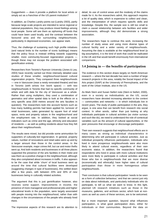Guggenheim — does it provide a platform for local artists or simply act as a franchise of the US parent institution?

In addition, as Charles Landry points out (Landry 2003), partly because large-scale projects are intended to serve regional or national populations, they may produce mixed feelings among local people. Some will see them as siphoning off funds that could have been used locally, and the contrast between the favoured area and the surrounding neighbourhoods, particularity in depressed economies, can appear stark.

Thus, the challenge of sustaining such high profile initiatives (and natural limits to the number of iconic buildings) means that the policy focus is instead shifting towards supporting smaller, more community-focused regeneration projects though these may not escape the problem associated with gentrification entirely.

Researchers from Toronto's Ryerson University (Jones & Lea, 2003) have recently carried out three intensely detailed case studies of these smaller, neighbourhood-based cultural regeneration projects. They compared three neighbourhoods — one in Vancouver (near a newly renovated theatre) and two in Toronto (with artists live /work space) — with two neighbourhoods in Toronto that had no specific community of artists and with data for the city of Vancouver as a whole. Rather than using multipliers, they used a combination of geomatics and other spatial data to look at the effects on a very specific area (500 metres around the arts faculties in question). The researchers took into account factors such as how many building permits had been applied for, turnover of retail businesses, sales generated by square foot of retail space, rents and property values in the neighbourhood and the employment rate. In addition, they looked at social indicators such as crime and the age, ethnicity and education of residents — as well as polling residents about how they felt about their neighbourhoods.

The results were mixed, but did provide some ammunition for supporters of culturally-led regeneration. In general, property values, number of renovations and retail sales were up and by a larger amount than those in the control areas. In the Vancouver example, major crimes fell, but car and motor thefts went up. And both residents and businesses in all three places supported the presence of the arts facilities in their midst and saw them as a positive change in the neighbourhood, although they also complained about increases in traffic. It also appears to be the case that while 'churn' of local business went up around the time that cultural facilities were developed (suggesting changes in type of businesses), this settled down after a few years, with between 20% and 30% of new businesses being in culturally related activities.

The argument that this is just gentrification however, also receives some support. Improvements in income, the presence of more managerial and professional jobs and higher educational levels in the population, were largely associated with people moving into the neighbourhood, rather than with changes in the circumstances of the people who already lived there.

The impressive aspects of this research are its attention to

detail, its use of control areas and the modesty of the claims made for it. As the researchers admit, this approach requires a lot of quality data, which is expensive to collect and clean, and the interpretation of which requires specific skills and knowledge. Despite this, the sample size is still too small to claim a causal relationship between arts facilities and wider improvements, although they did demonstrate a strong association.

The researchers hope to continue this work, increasing the number of study areas and using more diverse types of cultural facility and a wider variety of neighbourhoods. Assuming the data is available at the neighbourhood level (a big assumption), it is the kind of work that could be replicated in the UK and that would benefit enormously from international comparisons.

#### **5.4 Joining in — the benefits of participation**

The evidence in this section draws largely on North American research — where the last decade has seen a number of large research projects in this area, notably the Social Impact of the Arts project (SIAP) at the University of Pennsylvania, and the work of the Urban Institute, also in the US.

As Mark Stern and Susan Siefert note (Stern & Siefert, 2000), even in a society as individualistic as the US, social researchers have devoted increasing attention to the context — communities and networks — in which individuals live in recent years. The study of public participation in the arts, they argue, is one area that can benefit from research into social context. In other words, rather than just looking at why individuals participate in cultural activities (as visitor surveys and such like do), we need to understand the role of contextual variables such as the amount of cultural opportunities, or the peer pressures that encourage or discourage participation.

Their own research suggests that neighbourhood effects are in many cases as strong as individual characteristics in determining who will participate in cultural activities. Just as individual prosperity influences participation, individuals who lived in more prosperous neighbourhoods were also more likely to attend cultural events, regardless of their own economic status. In addition, the researchers found that respondents who lived in areas with more cultural institutions were more likely to participate in cultural activities and that those who live in neighbourhoods that are more diverse (economically and ethnically) have higher rates of cultural participation than those in more homogenous urban neighbourhoods.

Their conclusion is that cultural participation 'needs to be seen as a form of collective behaviour,' and that we cannot just rely on data about individuals, and particularly individuals who do participate, to tell us what we want to know. In this light, planned UK research initiatives such as those in the museums, galleries, and archives sector, which look at nonusers as well as users of these services, are to be welcomed.

But a more important question, beyond what influences participation, is what good participation does, either for individuals or their communities. Beyond the data on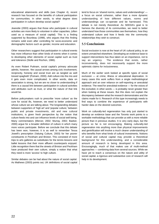educational attainments and skills (see Chapter 4), recent research has focused on the benefits of cultural participation for communities. In other words, to what degree does participation in culture develop social capital?

Jeanotte (2003) argues that those who participate in cultural activities are more likely to volunteer in other capacities, (often used as a measure of social capital). This is a finding supported by Bourdeau (1998), who argues that this finding remains solid even after controlling for socio-economic and demographic factors such as gender, income and education.

Other researchers suggest that participation in cultural events has more influence than other kinds of events when it comes to developing other elements of social capital such as trust and tolerance (Stolle and Rochon, 1986).

As even Robert Puttnam, social capital's primary advocate admits, however, 'the causal arrows among civic involvement, reciprocity, honesty and social trust are as tangled as well tossed spaghetti' (Putnam, 2000). Add culture into the mix and it gets even more complicated. In other words, data on association is strong, but we are no closer to understanding if there is a causal link between participation in cultural activities and attributes such as trust, or what the nature of that link would be.

Before policymakers rush to prescribe 'more culture' as the cure for social ills, however, we need to better understand whose culture we are talking about. The longstanding debates between supporters of 'high art' and 'popular culture,' between public and private investments, old and new cultural institutions, is given fresh perspective by the notion that culture feeds into and can influence levels of social well-being. Many commentators (Mercer, 2002; Murray, 2002; Baeker, 2000) argue for a broader definition of culture in which many more voices participate. Before we conclude that this debate has been won, however, it is as well to remember Tessa Jowell's prescription (Valuing Culture, 2003) for her poorer constituents in Peckham and Brixton. This consisted of more trips to arts galleries as substitutes for the tennis lessons and ballet lessons that their more affluent counterparts enjoyed. Little recognition there that the streets of Brixton and Peckham have produced their own culture, simply a notion that what they need is more 'access' to high culture.

Similar debates can be had about the nature of social capital. As Mathews (2003) points out, UK definitions of social capital tend to focus on 'shared norms, values and understandings' a focus on social cohesion, rather than a more dynamic understanding of how different values, norms and understandings can co-operate and be harnessed. This debate is not merely theoretical. As SEEDA's goal is to harness the diversity of its communities, we need to better understand how those communities see themselves, how they understand culture and how it feeds into the community relationships they wish to construct.

# **5.5 Conclusions**

Social exclusion is now at the heart of UK cultural policy, to an extent unmatched elsewhere. Developing an evidence base to support interventions has thus taken on an importance, not to say an urgency. The evidence that exists, rather inconveniently, does not necessarily support the more optimistic claims for inclusiveness.

Much of the earlier work looked at specific types of social exclusion — at crime, illness or educational deprivation. In many cases this work suffers from a single methodological approach and an over reliance on self-reporting or anecdotal evidence. The need for anecdotal evidence — for the voices of the excluded, in other words — is probably never greater than when looking at these issues. But this does not explain the discrepancy between what the research demonstrates and the claims made for it. Research of this type increasingly needs to find ways to combine the experience of participants with harder data on the desired outcomes.

Work on culturally-led regeneration has only just started to develop an evidence base and the Toronto work points to a workable methodology that can provide us with a more reliable picture than in previous studies. It is very early days, but the picture so far is not encouraging. Making culturally-led regeneration into anything more than physical improvements and gentrification will involve a much clearer understanding of who benefits from what kinds of cultural investments. Notions of social and cultural capital may provide a theoretical background for this understanding, and a considerable amount of research is being developed in this area. Encouragingly, much of that makes use of multi-method approaches — combining data from several sources. While we have yet to reach a consensus on the nature and utility of social capital, a rigorous and substantive core of research will help in its development.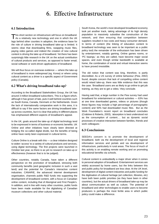# 6. Effective Infrastructure

## **6.1 Introduction**

This short section on infrastructure will focus on broadband.<br>As a relatively new technology and one in which the UK lags behind other counties in adoption, the evidence base for the role of culture in driving broadband take-up is limited. It seems clear that downloading films, swapping music files, paying video games and indeed the creation of new cultural content is driving the take up of broadband. Yet there has been surprisingly little research in the UK on the actual contribution of cultural products and services, as opposed to faster email, social software or work-driven applications of broadband.

We will thus focus on overseas evidence — where the take-up of broadband is more widespread (eg. Korea) or where using cultural content as a driver is a specific aspect of Government policy (Canada).

## **6.2 What's driving broadband take-up?**

According to the Broadband Stakeholders Group, the UK has around 3 million broadband subscribers. This is a figure which, although it has grown of late, puts it well behind countries such as South Korea, Canada, Denmark or the Netherlands. Given the lack of internationally comparative work in this area, it is difficult to say if the same factors are driving broadband takeup across countries, but it is clear that policy in different places has emphasised different aspects of broadband's appeal.

In the UK, goals around the take-up of digital technology tend to be expressed in terms of business or economic benefits. UK Online and other initiatives have clearly been directed at bridging the so-called digital divide, but the benefits of being online have rarely been expressed in cultural terms.

Culture Online is a break with this — a clear initiative designed to widen 'access' to a variety of cultural products and services, using digital technology. The first projects were launched in October last year, so there is as yet no research on take-up or effectiveness (however that is to be judged).

Other countries, notably Canada, have taken a different perspective on the promotion of broadband, stressing both community benefits (and geographic inclusion in such a vast land) and the potential for Canada's interactive content industries. CANARIE, the advanced internet development organisation, channels public R&D funds into supporting the development of broadband content, with a focus on Canadian online content, including that of Aboriginal and First People's. In addition, and in line with many other countries, public funds have been made available for the digitalising of Canadian museum collections and other cultural material.

South Korea, the world's most developed broadband economy took yet another track, taking advantage of its high density population to massively subsidise the construction of the network, and then ensuring that competition between suppliers resulted in low costs and heavy consumer demand. In terms of content (the linking of education content to broadband technology was seen to be important as a public policy tool) the remainder of the enthusiasm has been driven by entertainment, notably gaming. Online games rooms, or 'PC baangs,' as they are called, have become major social spaces, and even though similar bandwidth is available at home, the combination of social and virtual interaction seems to have proved irresistible.

The old notion that content was king, therefore, is partly discredited. As a US survey of online behaviour (Pew, 2002) found, despite concern that lack of compelling online content would retard take-up, there was little evidence that this was the case. 'Broadband users are as likely to go online to get job training, as they are to get a video,' they conclude.

Having said that, a large number in the Pew survey had used broadband for entertainment or cultural activities — 63% has at one time downloaded games, videos or pictures (though these figures may include a high percentage of pornographic content) and 50% had downloaded music files. But as the Work Foundation's recent report on broadband concludes (Crabtree & Roberts, 2003), 'absorption is best understood not as the consumption of content…. but as dynamic social processes of creative interaction between families, friends and work colleagues.'

# **6.3 Conclusions**

SEEDA's concern is to promote the development of broadband, both via the development of local and regional information services and portals and via development of infrastructure, particularly in rural areas. The focus of much of this activity is on enabling remote working and on promoting educational benefits via schools.

Cultural content is undoubtedly a major driver when it comes to personal adoption of broadband. Entertainment services are widely accessed by home users, but the links between this and public policy for broadband are less clear. At the UK level, development of digital content industries and public funding for the digitisation of cultural heritage (art collection, libraries, etc) have both been public priorities (as they have been in other countries), but the actual drivers of broadband take-up may be about communication as well as culture. The potential of broadband and other technologies to enable users to become producers is perhaps the most fertile area in which public policy could make a difference.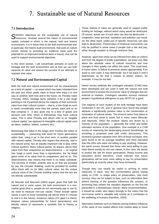# 7. Sustainable use of Natural Resources

# **7.1 Introduction**

SEEDA's objectives for the sustainable use of natural<br>Second the notion of environmental capital, included in which is the natural, built and historic environment. It is in these links to the built environmental and, in particular, the historic built environment, that work on culture comes closest to providing an evidence base (and the potential for an improved evidence base in future), that can be used to support environmental objectives.

In this short section, I will concentrate primarily on work on heritage and the built environment and at how we can both measure its value and assess the success of our attempts to maintain that value.

# **7.2 Natural and Environmental Capital**

Both the built and natural environment can be characterised as a kind of capital — an asset which has been inherited from the past and which yields value to those who enjoy it in one way or another, both now and in the future. As Throsby notes (Throsby, 2002), heritage items (whether it be a Van Gogh painting or the Pyramids) derive the majority of their economic value from their cultural content — that is, a Van Gogh as such is worth considerably more than the canvas, paint and so on that comprise it. It also gives rise to a flow of goods and services over time, which in themselves may have cultural value. This is what Throsby and others refer to as 'tangible cultural capital,' (as opposed to intangible cultural capital such as ideas, tradition, beliefs, customs etc).

Maximising that value in the longer term invokes the notion of sustainability — preserving that asset for future generations rather than 'using it up' in the short term. In another parallel with natural capital, Throsby also argues that diversity, vital in the natural world, has an equally important role to play within cultural systems. Many cultural goods, he argues, derive their value from their uniqueness (or distinctiveness) — an original Van Gogh is worth more than a reproduction, the Taj Majal gains some of its value from its uniqueness, and so on. This distinctiveness also means that there is no ready substitute. The services of shelter, amenity and so on that are provided by say, the Chrysler Building, could be provided by another office block with no (or little) cultural value, but the unique cultural value of the Chrysler building means that the two are not directly substitutable.

As Mourato and Mazzanti (2002) argue, given that both the natural and in some cases, the built environment is a nonmarket good (that is, people do not necessarily pay to use it), we need to measure non-use values. These include option values (I want to know something will still be there if I choose to visit it in the future); existence values (I'm glad it is there); bequest values (stewardship for future generations) and identity values (it represents a symbolic link to history or religion).

These notions of value are generally used to support public funding for heritage, without which many would be destroyed. Of course, actual use of such sites can also be destructive congestion, wear and tear, vandalism and pollution can result. On the other hand, under-use of specific resources can also lead to destruction. Preservation of historical monuments can only be justified in some cases if people visit a site and pay, either through taxation or through entrance fees.

However, apart from what can be inferred from data on visitors and from the degree of public expenditure, we know very little about the absolute value of cultural resources and how changes in their quality can affect this value. This could lead, in some cases, to failure to preserve assets appropriately. If an asset is over-used, it may deteriorate, but if we leave it until it deteriorates so far that it ceases to attract visitors, for example, it may be too late.

Hence survey methods like contingent valuation (CVM) have been developed and are used in both the natural and built environment to assess the economic value of changes that are external to markets. Contingent valuation surveys measure people's hypothetical willingness to pay (WTP) for a good.

The majority of such studies of the built heritage have been conducted in the UK, and in general have found that people attribute a significantly positive value to the conservation or restoration of cultural assets. The amount varies from place to place and from asset to asset, but in many cases (Mourato and Mazzanti, 2002) the positive values are driven by a minority of the population — generally the richer and better educated sections of the population. One example is a CVM survey on improving the landscaping around Stonehenge, by tunneling a proposed road (still under discussion). This received a positive valuation from 35% of those surveyed, who were found to be on average wealthier and more educated than the 65% who were not willing to pay anything. However, the same survey showed that those who were willing to pay, were driven mostly by non-use values, in this case, the desire to protect the site for future generations. Rising income and education levels therefore, could indicate that future generations will be even more willing to pay for preservation (particularly as scarcity value may have increased).

Though they can clearly be useful in arriving at some measures of value, very few commentators advise relying solely on CVM to shape policy on preservation. Like most surveys, they can be subject to bias, such as information bias (where framing of the question influences the answer), or anchoring bias (where the valuation depends on the first bid presented in a dichotomous choice). Many environmentalists, it should be noted, also object strongly to the notion that the non-human world is valuable only insofar as it contributes to the wellbeing of humans (Hamilton, 2003).

Alternative methods such as hedonic pricing (indirect influence of the value of non market effects from market data) or travel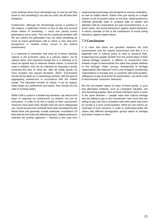costs methods (how much will people pay or how far will they travel to visit something?) can also be used, but all have their limitations.

Furthermore, although the Stonehenge survey is positive in this respect, a legitimate concern is how to take into account future values of something — since one cannot survey generations yet to come. This can be a particular problem with the arts (where this generation may not value something as much as future generations will) or where a very long term prospective is needed (many issues in the natural environment).

It is important to remember that what all of these methods capture is the economic value of a cultural 'object,' not its cultural value. And important though this is in allowing us to reach an agreed way to measure relative values, it cannot be used in isolation, and can be criticised for imposing a purely consumer-led view on what are, after all, public goods. As Cass Sunstein has argued (Sunstein, 2002), 'Government should not be taken as a maximising machine, with the goal of aggregating preferences in accordance with the market model.' The educative function of culture, it can be argued, helps shape our preferences and tastes, thus should not just cater to existing tastes.

While CVM is useful in a limited way therefore, we need to find ways of capturing our preferences as citizens, not just as consumers. In order to do this a variety of other assessment measures have been tried, though none are yet in widespread use. Social assessment methods have been developed by the World Bank and generally include extensive consultation (of both directly and indirectly affected groups). Stated preference methods are another approach — derived in this case from experimental psychology and designed to uncover motivation, as well as stated values. Rather than just relying on a single answer or set of answers taken at one time, stated preference methods generally seek to compare data on beliefs and attitudes held by respondents (to spot inconsistencies) or, in some cases, test actual behaviours against stated behaviour. A classic example of this is the comparison of actual voting behaviour against stated values.

## **7.3 Conclusions**

It is clear that there are parallels between the built environments and the natural environment and that it is a legitimate tool of cultural policy to seek to preserve both. Evidencing how people 'benefit' from the preservation of their cultural heritage however, is difficult, so researchers have instead sought to demonstrate the value that people attribute to this heritage. Visitor surveys, membership of heritage organisations (the National Trust is one of largest membership organisations in Europe) and, in countries with local taxation, willingness to pay local levies for preservation, can all be used to demonstrate 'consumer' behaviour.

But the non-market nature of many of these goods, is such that alternative methods, such as contingent valuation, are also becoming popular. Most of these indicators seem to point in the same direction — people value their cultural heritage and are willing to pay to see it preserved. How much they are willing to pay and how it compares with other goals they have for society is a more vexed question. What we now need is an extension of such research, in order to understand better the values that different demographic groups attach to heritage and what it means to them.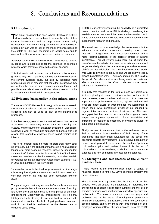# 8. Conclusions and Recommendations

## **8.1 Introduction**

The aim of this report has been to help SEEDA and SEECC<br>develop a better evidence base to assess the value of their cultural investments and to help inform future policy development. It is the first stage in what will be a developing process. My aim was to look at the major evidence bases as they relate to SEEDA's economic and social goals and to assess their fitness for evidence-based policy development.

At a later stage, SEEDA and the SEECC may wish to develop guidance and methodologies for the appraisal of economic projects, which they may share with cultural agencies.

This final section will provide some indications of the form that guidance may take — partly by pointing out the weaknesses in the current evidence base, but also by indicating more promising strands of research that can either be used as they are, or form the basis of future primary research. Finally, I will provide some indication of the kind of primary research I think is necessary and how it might be approached.

## **8.2 Evidence-based policy in the cultural arena**

The current DCMS Research Strategy calls for an increase in the amount of relevant socio-economic policy research and evidence that can be used as part of the policymaking processes.

In the last twenty years or so, the cultural sector has become accustomed to measuring inputs such as spending and outputs, and the number of education sessions or workshops. Meanwhile, work on measuring outcomes and effects (the kind of work that is need for evidence-based policy) remains in its infancy.

This is no different (and no more sinister) than many other policy areas, but in the cultural arena there is a relative lack of longer term, more academic research, funded by independent sources. As Colin Mercer noted in his work for the South West, the expert panel responsible for assessing cultural research in universities for the last Research Assessment Exercise (RAE) in 2001 commented on this very issue:

'Independent work in this field for government or other major clients requires significant resources and it was noted that very little work of this kind had been conducted' (Mercer, 2003).

The panel argued that 'only universities' are able to undertake policy research that is independent of the source of funding, and while one might take issue with that particular argument (independent Observatories, organisations like Regional Intelligence Units etc may do so), it is hard to disagree with their conclusions that the lack of policy-relevant academic work in this field is detrimental to the development of evidence-based policy.

DCMS is currently investigating the possibility of a dedicated research centre, and the AHRB is similarly considering the establishment of one when it becomes a full research council. It is to be hoped that both will help to establish a body of more independent research and analysis.

The need now is to acknowledge the weaknesses in the evidence base and to move on to develop more robust methods — longer-term, more systematic research and a more realistic appraisal of the spillover effects of cultural investments. This will involve being more explicit about the role of research vis-à-vis other sources of information, as well as greater clarity about the relative strengths and weaknesses of different methodologies. We should not expect case studytype work to diminish in this area and we are likely to see a growth in qualitative work — surveys, and so on. This is all to the good. But where claims are being made for particular effects, we should not be afraid to demand some harder evidence of these effects.

It is likely that research in the cultural arena will continue to feature a plurality of research methods — improved statistical data, surveys, cases studies and so on. It is therefore important that policymakers at local, regional and national level are made aware of what methods are appropriate in which case, what constitutes 'evidence' as opposed to argumentation, and what the limits of evidence are. This is not to suggest that they need to become methodological experts; simply that a greater appreciation of the possibilities and limitations of research is necessary in evidenced-based (or influenced) policymaking.

Finally, we need to understand that, in the well-worn phrase, 'lack of evidence is not evidence of lack.' Many of the arguments that have been advanced for the social and economic benefits of investments in culture have been neither proved nor disproved. In most cases, the 'evidence' points to both welfare gains and welfare losses. It is the job of policymakers, not researchers, to decide how to act upon evidence and how competing interests can be balanced.

#### **8.3 Strengths and weaknesses of the current evidence base**

I have looked at the evidence base under a variety of headings, chosen to reflect SEEDA's economic strategy and major interests.

There is widespread agreement that the base statistics that underlie work on culture are inadequate. In particular, the shortcomings of official classification systems and the lack of standard definitions and methodologies used by agencies are problematic. The most commonly perceived gaps and problems are in the areas of employment (particularly freelance employment), participation, and in the coverage of specific sectors, particularly those with large numbers of selfemployed. At regional level, the adoption and use of the RCDF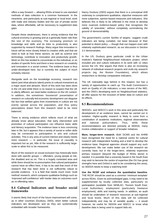offers a way forward — allowing RDAs at least to use standard methods of data collection in a common framework. In the meantime, and particularly at sub-regional or local level, work with trade and industry bodies and the use of private sector data, where affordable, will be necessary to supplement data gaps.

Despite these weaknesses, there is strong evidence that the cultural economy is growing and at a generally faster rate than the rest of the economy. The increasing premium on knowledge and skills and its links to productivity is also supported by research findings. Many argue that innovation in future will be more closely linked to creative skills and that we need to look at how these sectors, as well as science and technology, contribute to innovation and productivity growth. Work on this has tended to concentrate on the individual, or on studies of specific firms and there is less research on creativity and innovation in a social context. The evidence base is thus under-developed here, but is currently the subject of much scholarly interest.

Alongside work on the knowledge economy, research into talent (and what attracts talent) points to cultural investment as a major asset and attractor. Much of this work has been done in the US and while there is no reason to suspect that the UK is utterly different, we need better evidence on the UK context. In addition, the sometimes 'boosterish' presentation of research on culturally-led economic development can disguise the fact that welfare gains from investments in culture are not evenly spread across the population, and thus policy prescriptions drawn from this research need to be more balanced.

There is strong evidence which reflects much of what we already know about education, that early intervention and promotion of cultural participation can influence basic skills and literacy acquisition. The evidence base is less convincing later in life; but it appears that a variety of social or softer skills may be connected to participation in arts and cultural activities. This is any area of current interest and clearly needs more research — in particular, the issue of causality is important but as yet, little of the research is sufficiently largescale to allow this to be measured.

Much of the research on social exclusion has historically been done with specific groups — offenders, young people at risk, the disabled and so on. This is a hugely contested area and while there should be no presumption that cultural participation cannot have an effect here, it has to be said that much of the research that has been done is not sufficiently robust to provide evidence. It is a field that needs much more 'multi method' research, which compares qualitative findings such as 'improved self-confidence' with harder data on outcomes such as re-offending rates.

#### **8.4 Cultural Indicators and broader social frameworks**

It seems likely that much of the future improvement will come, as in other countries (Duxbury, 2003), when better cultural indicators are developed, and as they are systematically embedded with broader frameworks.

Nancy Duxbury (2003) argues that there is a conceptual shift underway to complement qualitative, objective measures with more subjective, opinion-based measures and indicators. She believes this is likely to be reflected in the move to develop more nuanced evidence-based policy that recognises the validity of 'anecdote,' without completely surrendering the ground of demonstrability.

The government's current 'bonfire of targets,' suggest crude indicators are being curtailed, not least because of their potential to distort policy — though that can happen even with relatively sophisticated research, as our discussion in Section 3.2 demonstrates.

In the US, Duxbury gives particular credit to the Urban Institute's National Neighbourhood Indicators project, which included arts and culture indicators in its work with 12 cities across the US. She argues that there is also an increasing network of individual research projects and multi-city research projects (eg, the Boston Foundation), which allows researchers to develop comparative indicators.

The UK noticeably lags behind in this respect, but has a variety of opportunities to catch up. The Audit Commission's work on Quality of Life indicators, a new version of the IMD, and the ONS's developing work on Neighbourhood statistics, all offer spaces for the inclusion of better data on culture and its effects.

## **8.5 Recommendations**

SEEDA's and SEECC's work in this area and particularly the development of an evidence base, cannot be carried out in isolation. Higher-quality research is likely to come from a combination of academic institutions, regional observatories and national policymakers. Thus, while these recommendations are directed primarily at SEEDA, many involve collaboration or support of broader initiatives.

**More, longer-term research**. Both DCMS and the AHRB have recognised the need for a national centre for cultural research with independent funding and a brief to develop the evidence base. Regional agencies should support any such development. We can make better use of the research we currently have, but in the longer-term, relatively expensive primary research (beyond the budget of RDAs alone) is needed. It is possible that a university based in the South East may wish to become the centre of expertise (the OU has great strengths here and Oxford is said to be considering this area), so SEEDA needs to keep a watching brief.

**Use the RCDF and enhance the quantitative baseline.** THE RCDF should be used as a common 'minimum template' across RDAs. Given its acknowledged gaps, it may need to be supplemented by locally collected data, particularly on participation (available from SEMLAC; Tourism South East, Local Authorities), employment (particularly freelance employment), skills and training needs. In addition, an audit should be undertaken of research resources at sub-regional and local levels. Much of this data will be collected independently and may be of variable quality — it would however, be useful for SEEDA and SEECC to know what baseline data is being used to support bids etc.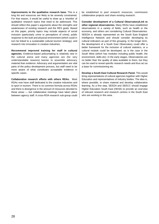**Improvements to the qualitative research base.** This is a long list and resources are likely to be severely constrained. For that reason, it would be useful to draw up a 'shortlist' of qualitative research topics that need to be addressed. This should reflect this paper's arguments about the strengths and weaknesses of existing research and the RES goals. Based on this paper, priority topics may include aspects of social inclusion (particularly crime or perceptions of crime), public response to the built and physical environment (which could in turn be linked to a sustainable cultural tourism strategy), and research into innovation in creative industries.

**Recommend improved training for staff in cultural agencies.** Evidence-based policymaking is relatively new in the cultural arena and many agencies are (for very understandable reasons) keener to assemble advocacy material than evidence. Advocacy and argumentation are vital parts of the policy development process, but staff need to be more aware of what constitutes acceptable evidence in specific cases.

**Collaborative research efforts with others RDAs.** Most RDAs now have staff dedicated to the creative industries and to sport or tourism. There is no common formula across RDAs and there is divergence in the amount of resources devoted to these areas — but collaborative meetings have taken place between agency staff. A cross-RDA research sub-group could be established to pool research resources, commission collaborative projects and share existing research.

**Consider development of a Cultural Observatory/Link to other regional observatories.** Many RDAs have established observatories in a variety of fields, such as health or the economy, and others are considering Cultural Observatories. SEEDA is already represented on the South East England Intelligence Network and should consider developing its cultural indicators as part of this grouping. In the longer term, the development of a South East Observatory could offer a better framework for the inclusion of cultural statistics, or a cultural module could be developed, as is the case in the South West (which has modules including public health, the environment, skills etc). In the early stages, Observatories are no better than the quality of data available to them, but they can be used to reveal specific research needs and thus act as a base for commissioning etc.

**Develop a South East Cultural Research Panel.** This would bring representatives of cultural agencies together with Higher Education and representatives of industry bodies. The idea is, where possible, to share material and develop collaborative learning. As a first step, SEEDA and SEECC should engage Higher Education South East (HESE) to provide an overview of relevant research and research centres in the South East who are working in this area.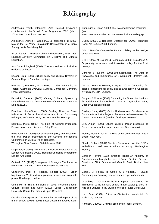# Bibliography

Addressing youth offending: Arts Council England's contribution to the Splash Extra Programme 2002, (March 2003), Arts Council, and London.

Alakeson.V, Aldrich.T, Gooman.J, & Jorgensen, B (2003) Making the Net Work: Sustainable Development in a Digital Society, Xeris Publishing, Middx.

All our futures: Creativity, Culture and Education, (May, 1999) National Advisory Committee on Creative and Cultural Education.

Arts Council England (2003), The arts and social inclusion: evidence on impact.

Baeker, Greg (2000) Cultural policy and Cultural Diversity in Canada, Dept of Canadian Heritage.

Bennett, T., Emmison, M., & Frow, J (1999) Accounting for Tastes; Australian Everyday Cultures, Cambridge University Press, Cambridge.

Bestwick, Deborah (2002) Valuing Culture, Speech by Deborah Bestwick, at Demos seminar of the same name (see Demos.co.uk).

Bourdeau, Jean-Pierre, (2002) Bowling Alone — Cross Indicators of Social Participation and Local Community Belonging in Canada, SRA, Dept of Canadian Heritage.

Bourdieu, Pierre (1993) The Field of Cultural Production; Essays on Arts and Literature, Polity Press.

Bridgwood, Ann (2002) Social inclusion: policy and research in the arts, Paper presented to the Second International Conference on Cultural Policy Research, Wellington, New Zealand, 22-26 January 2002.

Carpenter, E (1999) The Arts and Inclusion: Evaluation of the London Arts Board's 1998/9 Regional Challenge Programme. London Arts Board.

Catterall, J.S. (1999) Champions of Change - The Impact of the Arts on Learning. The Arts Education Partnership.

Chatterton, Paul & Hollands, Robert (2003), Urban Nightscapes: Youth cultures, pleasure spaces and corporate power, Routledge, London.

Count Me In: The Dimensions of Social Inclusion through Culture, Media and Sport (2002) Leeds Metropolitan University, Centre for Leisure & Sport Research.

Creative Consequences; The contribution and impact of the arts in Essex, 2001/1 (2003), Local Government Association.

Cunningham, Stuart (2003) The Evolving Creative Industries (see

www.creativeindustries.qut.com/research/cirac/reading.jsp).

DCMS (2003), A Research Strategy for DCMS, Technical Paper No 3, June 2003, London.

DTI (1998) Our Competitive Future: building the knowledge driven economy.

DTI & Office of Science & Technology (2000) Excellence & Opportunity: a science and innovation policy for the 21st century.

Donovan & Halpern, (2002) Life Satisfaction: The State of Knowledge and Implications for Government, Strategy Unit, London.

Donald, Betsy & Morrow, Douglas (2003), Competing for Talent: Implications for social and cultural policy in Canadian city-regions, SRA, Quebec.

Douglas & Morrow (2003) Competing for Talent: Implications for Social and Cultural Policy in Canadian City-Regions, SRA, Dept of Canadian Heritage.

Duxbury, Nancy (2003), Cultural Indicators and Benchmarks in Community Indicator Projects: Performance Measurement for Cultural Investments? (see http://colloq.ccrninfo.net).

Ellis, Aidian (2003) Valuing Culture, Paper presented at Demos seminar of the same name (see Demos.co.uk).

Florida, Richard (2002) The Rise of the Creative Class, Basic Books, New York.

Florida, Richard (2004) Creative Class War, How the GOP's anti-elitism could ruin America's economy, Washington Monthly.

Gardner, Howard (1993) Creating Minds: An Anatomy of Creativity seen through the Lives of Freud, Einstein, Picasso, Stravinsky, Elliot, Graham and Gandhi, Basic Books, New York.

Gertler. M, Florida, R, Gates, G & Vinodrai, T (2002) Competing on Creativity, see competeprosper.ca/research.

Guetzkow, J (2002) How the Arts Impact Communities: An introduction to the literature on arts impact studies (Centre for Arts and Cultural Policy Studies, Working Paper Series 20).

Hall, Peter (1998), Cities in Civilisation, Weidenfeld & Nicholson, London.

Hamilton, C (2003) Growth Fetish, Pluto Press, London.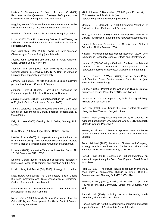Hartley, J., Cunningham, S., Jones, J., Hearn, G. (2002) Response to the Queensland Strategy R&D paper, (see www.creativeindustries.qut.com/research/cirac).

Huggins, Robert (2003), Market Development of the Creative Industries In London, LDA, Robert Huggins Associates.

Howkins, J (2001) The Creative Economy, Penguin, London.

Impact (2003) Time For Measuring Culture: Road-Testing the Indicators, Prepared for Culture East Midlands by Impact Research Limited.

Isar, Yudhishthir Raj (2003) Toward an Inter-American Observatory of Cultural Policy (unpublished).

Jacobs, Jane (1992) The Life and Death of Great American Cities, Vintage Books, New York.

Jeanotte, M Sharon (2003) Just Showing Up: Social and Cultural Capital in Everyday Life, SRA, Dept of Canadian Heritage (see http://colloq.ccrninfo.net).

Jermyn, Helen (2001) The Arts and Social Exclusion: a review prepared for the Arts Council of England.

Johnson, Peter & Thomas, Barry (2001) Assessing the Economic Impacts of the Arts, University of Durham.

Joining The Dots, Cultural Sector Research in the South West of England (Culture South West, October 2003).

Jones & Lea (2003) Beyond Anecdotal Evidence: the Spillover Effects of Investments in Cultural Facilities (presentation by the authors).

Kelly & Muers (2002) Creating Public Value, Strategy Unit, London.

Klein, Naomi (2000) No Logo, Harper Collins, London.

Leather, P. et al (2000), A comparative study of the impact of environmental design upon hospital patients and staff, Institute of Work, Health & Organisations, University of Nottingham.

Lengrand (2002), Innovation Tomorrow, Innovation Papers No 28, DG Enterprise EUR 17052.

Lidstone, Gerald (2003) The arts and Educational Inclusion: A Discussion Paper, IPPR seminar on Education and the Arts.

London, Analytical Report, (July 2003), Strategy Unit, London.

MacGillivray, Alex (2001) The Glue Factory, Social Capital Business Innovation and Trust, Association of Chartered, Certified Accountants, Unpublished.

Matarasso, F (1997) Use or Ornament? The social impact of participation in the arts, Comedia.

Mercer, Colin (2002) Towards Cultural Citizenship: Tools for Cultural Policy and Development, Stockholm, Bank of Sweden Tercentenary Foundation.

Mitchell, Inouye, & Blumenthal, (2003) Beyond Productivity: IT, Innovation and Productivity (see http://bob.nap.edu/html/beyond\_productivity).

Mourato, S & Mazzanti, M (2002) Economic Valuation of Cultural Heritage: Evidence and Prospects.

Murray, Catherine (2003) Cultural Participation: Towards a Cultural Participation Paradigm (see http://colloq.ccrninfo.net).

National Advisory Committee on Creative and Cultural Education, All Our Futures, 2000.

National Foundation for Educational Research (2000), Arts Education in Secondary Schools; Effects and Effectiveness.

Noonan, D (2002) Contingent Valuation Studies in the Arts and Culture: An Annotated Bibliography (see http://culturalpolicy.uchicago.edu/CVMpapers/Noonan.html).

Nutley. S, Davies. H,& Walter,I (2002) Evidence-Based Policy and Practice: Cross Sector lessons from the UK (see www.evidencenetwork.org).

Oakley, K (2003) Promoting Innovation and Risk in Creative Businesses, Issues Paper for NESTA, unpublished.

Orr Vered, K (2002). Computer play looks like a good thing. Flinders Journal, April 2-14.

Pahl, Ray (1999) Social Trends, the Social Context of Healthy Living, Nuffield Trust and Judge Institute.

Pawson, Ray (2003) assessing the quality of evidence in evidence-based policy: why, how and when? ESRC Research Methods Working Paper No 1.

Peaker, A & Vincent, J (1990) Arts in prisons: Towards a Sense of Achievement, Home Office Research and Planning Unit London.

Porter, Michael (2000), Locations, Clusters and Company strategy in Clark, Feldman and Gertler eds, The Oxford Handbook of Economic Geography, OUP, Oxford.

Powell, David (2003) Creative and Cultural Industries, An economic impact study for South East England, David Powell Associates.

Pratt, AC (1997) The cultural industries production system; a case study of employment change in Britain, 1984-91, Environment and Planning, Vol A27: 1953-1974.

Putnam, Robert, (2000), Bowling Alone: The Collapse and Revival of American Community, Simon and Schuster, New York.

Randell, Nick (2002), Including the Arts, Preventing Youth Offending, Nick Randell Associates.

Reeves, Michelle (2002), Measuring the economic and social impact of the arts: A Review, Arts Council, London.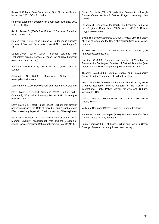Regional Cultural Data Framework, Final Technical Report, November 2002, DCMS, London.

Regional Economic Strategy for South East England, 2002 –2012, SEEDA.

Reich, Robert B (2000) The Future of Success, Raqndom House, New York.

Romer, Paul (1994), 'The Origins of Endogenous Growth', Journal of Economic Perspectives, Vol. 8, No. 1, Winter, pp. 3- 22.

Sefton-Green, Julian (2004) Informal Learning with Technology outside school, a report for NESTA Futurelab (www.nestefuturelab.org).

Seltzer, K and Bentley, T, The Creative Age, (1999.), Demos, London.

Selwood, S (2002) Measuring Culture (see www.spikedonline.com).

Sen, Amartya (1999) Development as Freedom, OUP, Oxford.

Stern, Mark J & Siefert, Susan C (2002) 'Culture Builds Community,' Evaluation Summary Report, SIAP, University of Pennsylvania.

Stern Mark J & Siefert, Susan (2000) Cultural Participation and Communities: the Role of Individual and Neighbourhood Effects, Working Paper #13, SIAP, University of Pennsylvania.

Stole, D & Rochon, T (1998) Are All Associations Alike? Member Diversity, Associational Type and the Creation of Social Capital, American Behavorial Scientist, Vol 42, No 1.

Strom, Elizabeth (2001) Strengthening Communities through Culture, Center for Arts & Culture, Rutgers University, New Jersey.

Structure & Dynamics of the South East Economy, Reducing Inter-Regional Disparities (2003), Arup, MSC & Robert Huggins Associates.

Solnit, R & Schwartzenberg, S. (2000), Hollow City, The Siege of San Francisco and the Crisis of American Urbanism, Verso, London.

Stanley, Dick (2003) The Three Faces of Culture, (see http://colloq.ccrninfo.net).

Sunstein, C (2002) Coherent and Incoherent Valuation: A Problem with Contingent Valuation of Cultural Amenities (see http://culturalpolicy.uchicago.edu/projects/cvmconf.html).

Throsby, David (2002) Cultural Capital and Sustainability Concepts in the Economics of Cultural Heritage.

Venturelli, Shalini (2002) From the Information Economy to the Creative Economy: Moving Culture to the Centre of international Public Policy, Center for Arts and Culture, Washington DC.

White, Mike (2003) Mental Health and the Arts: A Discussion Paper, IPPR.

Williams, Raymond (1976) Keywords, London, Fontana.

Xamax & Content Strategies (2003) Economic Benefits from Cultural Assets, NOIE, Australia.

Zukin, Sharon (1982), Loft Living, Culture and Capital in Urban Change, Rutgers University Press, New Jersey.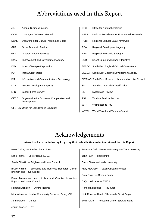# Abbreviations used in this Report

| ABI         | <b>Annual Business Inquiry</b>                                 | <b>ONS</b>  | <b>Office for National Statistics</b>                 |
|-------------|----------------------------------------------------------------|-------------|-------------------------------------------------------|
| <b>CVM</b>  | <b>Contingent Valuation Method</b>                             | <b>NFER</b> | National Foundation for Educational Research          |
| <b>DCMS</b> | Department for Culture, Media and Sport                        | <b>RCDF</b> | Regional Cultural Data Framework                      |
| <b>GDP</b>  | <b>Gross Domestic Product</b>                                  | <b>RDA</b>  | Regional Development Agency                           |
| <b>GLA</b>  | <b>Greater London Authority</b>                                | <b>RES</b>  | <b>Regional Economic Strategy</b>                     |
| <b>IDeA</b> | Improvement and Development Agency                             | <b>SCRI</b> | Street Crime and Robbery Initiative                   |
| <b>IMD</b>  | Index of Multiple Deprivation                                  |             | SEECC South East England Cultural Consortium          |
| 1/O         | Input/Output tables                                            | SEEDA       | South East England Development Agency                 |
| ICT         | Information and Communications Technology                      |             | SEMLAC South East Museum, Library and Archive Council |
| <b>LDA</b>  | London Development Agency                                      | <b>SIC</b>  | Standard Industrial Classification                    |
| <b>LFS</b>  | Labour Force Survey                                            | <b>SR</b>   | <b>Systematic Review</b>                              |
| <b>OECD</b> | Organisation for Economic Co-operation and                     | <b>TSA</b>  | <b>Tourism Satellite Account</b>                      |
|             | Development<br><b>OFSTED Office for Standards in Education</b> |             | Willingness to Pay                                    |
|             |                                                                | <b>WTTC</b> | <b>World Travel and Tourism Council</b>               |

# Acknowledgements

## **Many thanks to the following for giving their valuable time to be interviewed for this Report.**

| Peter Colling — Tourism South East                                                         | Professor Colin Mercer — Nottingham Trent University |
|--------------------------------------------------------------------------------------------|------------------------------------------------------|
| Katie Huane - Sector Head, EEDA                                                            | John Parry - Hampshire                               |
| Sarah Elderkin — Brighton and Hove Council                                                 | Calvin Taylor — Leeds University                     |
| Bruce Nairne - Economic and Business Research Officer,<br><b>Brighton and Hove Council</b> | Mary McAnally — SEEDA Board Member                   |
|                                                                                            | Gina Fegan - Screen South                            |
| Paula Murray — Head of Arts and Creative Industries,<br><b>Brighton and Hove Council</b>   | Dafydd Williams — SWDA                               |
| Robert Hutchison — Oxford Inspires                                                         | Henrietta Hopkins - ReSource                         |
| Nick Wilson - Head of Community Services, Surrey CC                                        | Nick Rowe — Head of Research, Sport England          |
| John Holden - Demos                                                                        | Beth Fowler — Research Officer, Sport England        |
| Adrian Brazier - DTI                                                                       |                                                      |